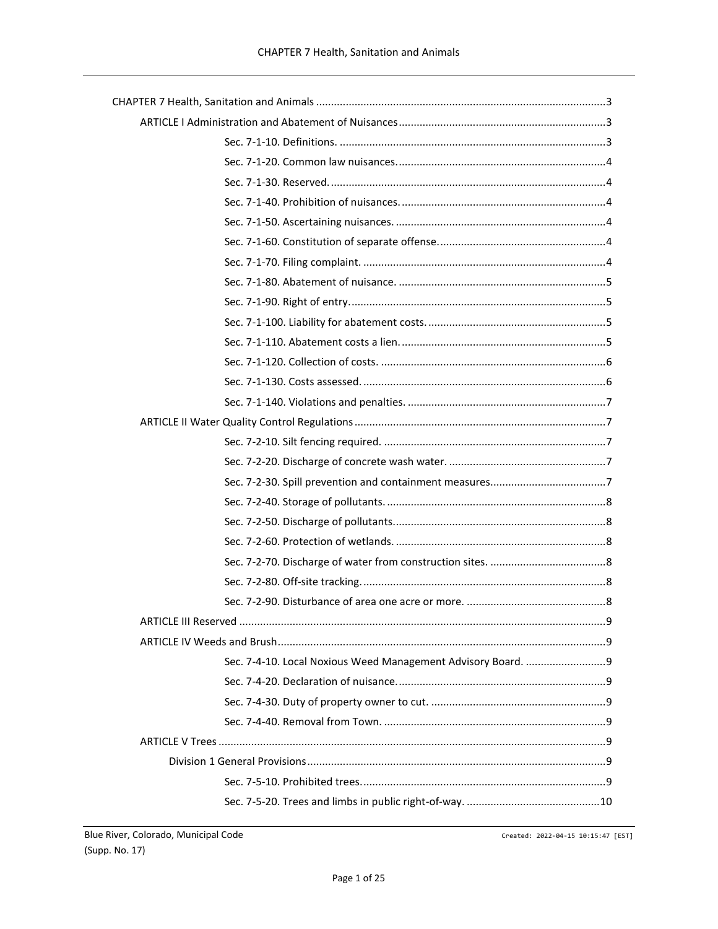Created: 2022-04-15 10:15:47 [EST]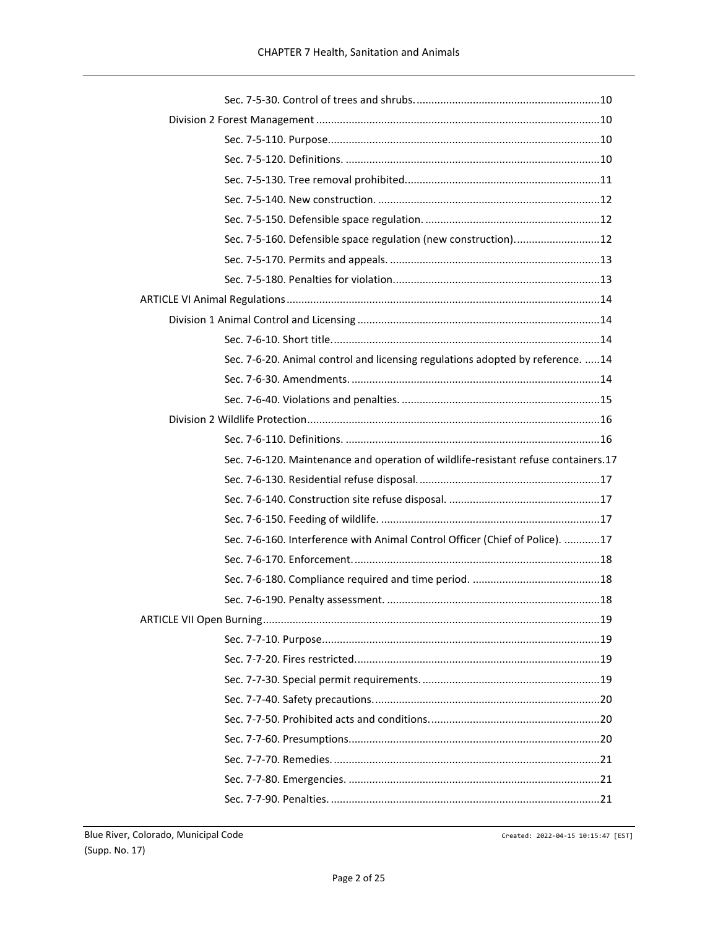| Sec. 7-5-160. Defensible space regulation (new construction) 12                    |  |
|------------------------------------------------------------------------------------|--|
|                                                                                    |  |
|                                                                                    |  |
|                                                                                    |  |
|                                                                                    |  |
|                                                                                    |  |
| Sec. 7-6-20. Animal control and licensing regulations adopted by reference.  14    |  |
|                                                                                    |  |
|                                                                                    |  |
|                                                                                    |  |
|                                                                                    |  |
|                                                                                    |  |
| Sec. 7-6-120. Maintenance and operation of wildlife-resistant refuse containers.17 |  |
|                                                                                    |  |
|                                                                                    |  |
|                                                                                    |  |
| Sec. 7-6-160. Interference with Animal Control Officer (Chief of Police). 17       |  |
|                                                                                    |  |
|                                                                                    |  |
|                                                                                    |  |
|                                                                                    |  |
|                                                                                    |  |
|                                                                                    |  |
|                                                                                    |  |
|                                                                                    |  |
|                                                                                    |  |
|                                                                                    |  |
|                                                                                    |  |
|                                                                                    |  |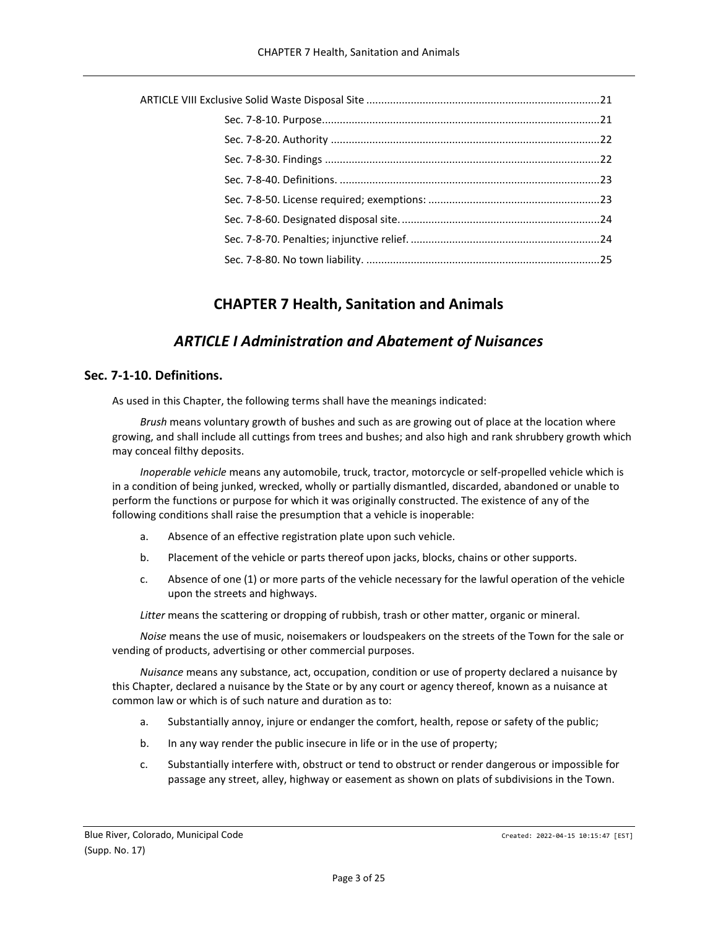# **CHAPTER 7 Health, Sanitation and Animals**

# *ARTICLE I Administration and Abatement of Nuisances*

## <span id="page-2-2"></span><span id="page-2-1"></span><span id="page-2-0"></span>**Sec. 7-1-10. Definitions.**

As used in this Chapter, the following terms shall have the meanings indicated:

*Brush* means voluntary growth of bushes and such as are growing out of place at the location where growing, and shall include all cuttings from trees and bushes; and also high and rank shrubbery growth which may conceal filthy deposits.

*Inoperable vehicle* means any automobile, truck, tractor, motorcycle or self-propelled vehicle which is in a condition of being junked, wrecked, wholly or partially dismantled, discarded, abandoned or unable to perform the functions or purpose for which it was originally constructed. The existence of any of the following conditions shall raise the presumption that a vehicle is inoperable:

- a. Absence of an effective registration plate upon such vehicle.
- b. Placement of the vehicle or parts thereof upon jacks, blocks, chains or other supports.
- c. Absence of one (1) or more parts of the vehicle necessary for the lawful operation of the vehicle upon the streets and highways.

*Litter* means the scattering or dropping of rubbish, trash or other matter, organic or mineral.

*Noise* means the use of music, noisemakers or loudspeakers on the streets of the Town for the sale or vending of products, advertising or other commercial purposes.

*Nuisance* means any substance, act, occupation, condition or use of property declared a nuisance by this Chapter, declared a nuisance by the State or by any court or agency thereof, known as a nuisance at common law or which is of such nature and duration as to:

- a. Substantially annoy, injure or endanger the comfort, health, repose or safety of the public;
- b. In any way render the public insecure in life or in the use of property;
- c. Substantially interfere with, obstruct or tend to obstruct or render dangerous or impossible for passage any street, alley, highway or easement as shown on plats of subdivisions in the Town.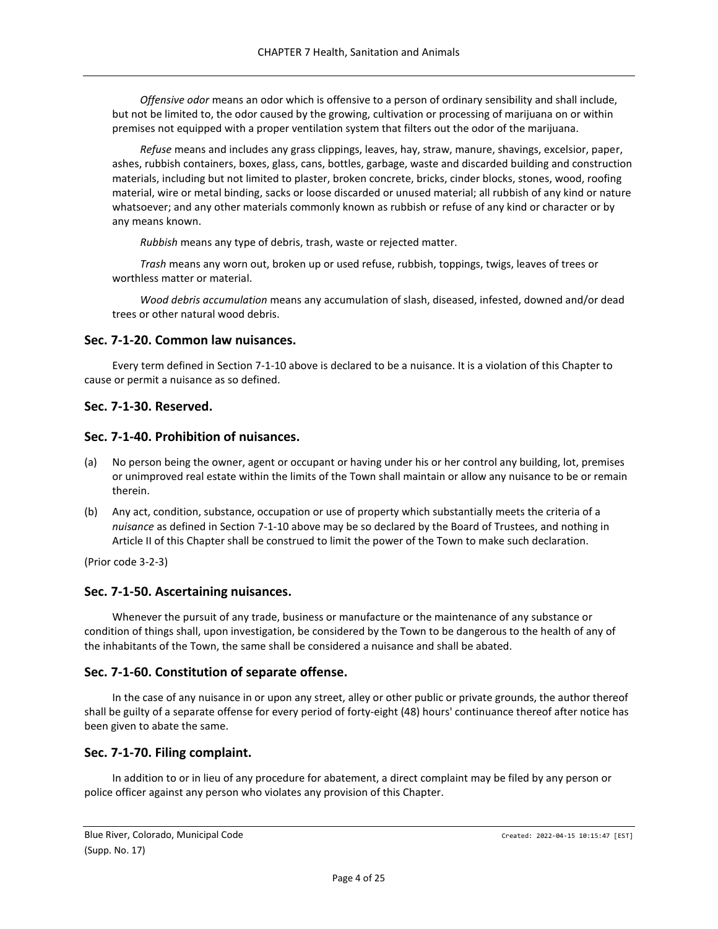*Offensive odor* means an odor which is offensive to a person of ordinary sensibility and shall include, but not be limited to, the odor caused by the growing, cultivation or processing of marijuana on or within premises not equipped with a proper ventilation system that filters out the odor of the marijuana.

*Refuse* means and includes any grass clippings, leaves, hay, straw, manure, shavings, excelsior, paper, ashes, rubbish containers, boxes, glass, cans, bottles, garbage, waste and discarded building and construction materials, including but not limited to plaster, broken concrete, bricks, cinder blocks, stones, wood, roofing material, wire or metal binding, sacks or loose discarded or unused material; all rubbish of any kind or nature whatsoever; and any other materials commonly known as rubbish or refuse of any kind or character or by any means known.

*Rubbish* means any type of debris, trash, waste or rejected matter.

*Trash* means any worn out, broken up or used refuse, rubbish, toppings, twigs, leaves of trees or worthless matter or material.

*Wood debris accumulation* means any accumulation of slash, diseased, infested, downed and/or dead trees or other natural wood debris.

### <span id="page-3-0"></span>**Sec. 7-1-20. Common law nuisances.**

Every term defined in Section 7-1-10 above is declared to be a nuisance. It is a violation of this Chapter to cause or permit a nuisance as so defined.

## <span id="page-3-1"></span>**Sec. 7-1-30. Reserved.**

### <span id="page-3-2"></span>**Sec. 7-1-40. Prohibition of nuisances.**

- (a) No person being the owner, agent or occupant or having under his or her control any building, lot, premises or unimproved real estate within the limits of the Town shall maintain or allow any nuisance to be or remain therein.
- (b) Any act, condition, substance, occupation or use of property which substantially meets the criteria of a *nuisance* as defined in Section 7-1-10 above may be so declared by the Board of Trustees, and nothing in Article II of this Chapter shall be construed to limit the power of the Town to make such declaration.

(Prior code 3-2-3)

### <span id="page-3-3"></span>**Sec. 7-1-50. Ascertaining nuisances.**

Whenever the pursuit of any trade, business or manufacture or the maintenance of any substance or condition of things shall, upon investigation, be considered by the Town to be dangerous to the health of any of the inhabitants of the Town, the same shall be considered a nuisance and shall be abated.

### <span id="page-3-4"></span>**Sec. 7-1-60. Constitution of separate offense.**

In the case of any nuisance in or upon any street, alley or other public or private grounds, the author thereof shall be guilty of a separate offense for every period of forty-eight (48) hours' continuance thereof after notice has been given to abate the same.

## <span id="page-3-5"></span>**Sec. 7-1-70. Filing complaint.**

In addition to or in lieu of any procedure for abatement, a direct complaint may be filed by any person or police officer against any person who violates any provision of this Chapter.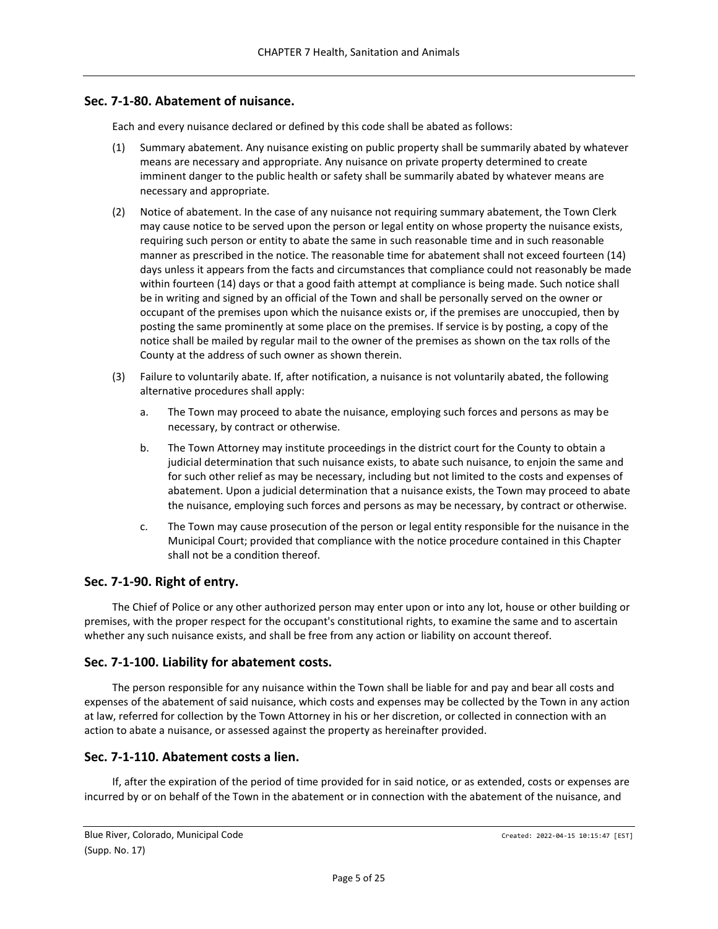## <span id="page-4-0"></span>**Sec. 7-1-80. Abatement of nuisance.**

Each and every nuisance declared or defined by this code shall be abated as follows:

- (1) Summary abatement. Any nuisance existing on public property shall be summarily abated by whatever means are necessary and appropriate. Any nuisance on private property determined to create imminent danger to the public health or safety shall be summarily abated by whatever means are necessary and appropriate.
- (2) Notice of abatement. In the case of any nuisance not requiring summary abatement, the Town Clerk may cause notice to be served upon the person or legal entity on whose property the nuisance exists, requiring such person or entity to abate the same in such reasonable time and in such reasonable manner as prescribed in the notice. The reasonable time for abatement shall not exceed fourteen (14) days unless it appears from the facts and circumstances that compliance could not reasonably be made within fourteen (14) days or that a good faith attempt at compliance is being made. Such notice shall be in writing and signed by an official of the Town and shall be personally served on the owner or occupant of the premises upon which the nuisance exists or, if the premises are unoccupied, then by posting the same prominently at some place on the premises. If service is by posting, a copy of the notice shall be mailed by regular mail to the owner of the premises as shown on the tax rolls of the County at the address of such owner as shown therein.
- (3) Failure to voluntarily abate. If, after notification, a nuisance is not voluntarily abated, the following alternative procedures shall apply:
	- a. The Town may proceed to abate the nuisance, employing such forces and persons as may be necessary, by contract or otherwise.
	- b. The Town Attorney may institute proceedings in the district court for the County to obtain a judicial determination that such nuisance exists, to abate such nuisance, to enjoin the same and for such other relief as may be necessary, including but not limited to the costs and expenses of abatement. Upon a judicial determination that a nuisance exists, the Town may proceed to abate the nuisance, employing such forces and persons as may be necessary, by contract or otherwise.
	- c. The Town may cause prosecution of the person or legal entity responsible for the nuisance in the Municipal Court; provided that compliance with the notice procedure contained in this Chapter shall not be a condition thereof.

### <span id="page-4-1"></span>**Sec. 7-1-90. Right of entry.**

The Chief of Police or any other authorized person may enter upon or into any lot, house or other building or premises, with the proper respect for the occupant's constitutional rights, to examine the same and to ascertain whether any such nuisance exists, and shall be free from any action or liability on account thereof.

### <span id="page-4-2"></span>**Sec. 7-1-100. Liability for abatement costs.**

The person responsible for any nuisance within the Town shall be liable for and pay and bear all costs and expenses of the abatement of said nuisance, which costs and expenses may be collected by the Town in any action at law, referred for collection by the Town Attorney in his or her discretion, or collected in connection with an action to abate a nuisance, or assessed against the property as hereinafter provided.

### <span id="page-4-3"></span>**Sec. 7-1-110. Abatement costs a lien.**

If, after the expiration of the period of time provided for in said notice, or as extended, costs or expenses are incurred by or on behalf of the Town in the abatement or in connection with the abatement of the nuisance, and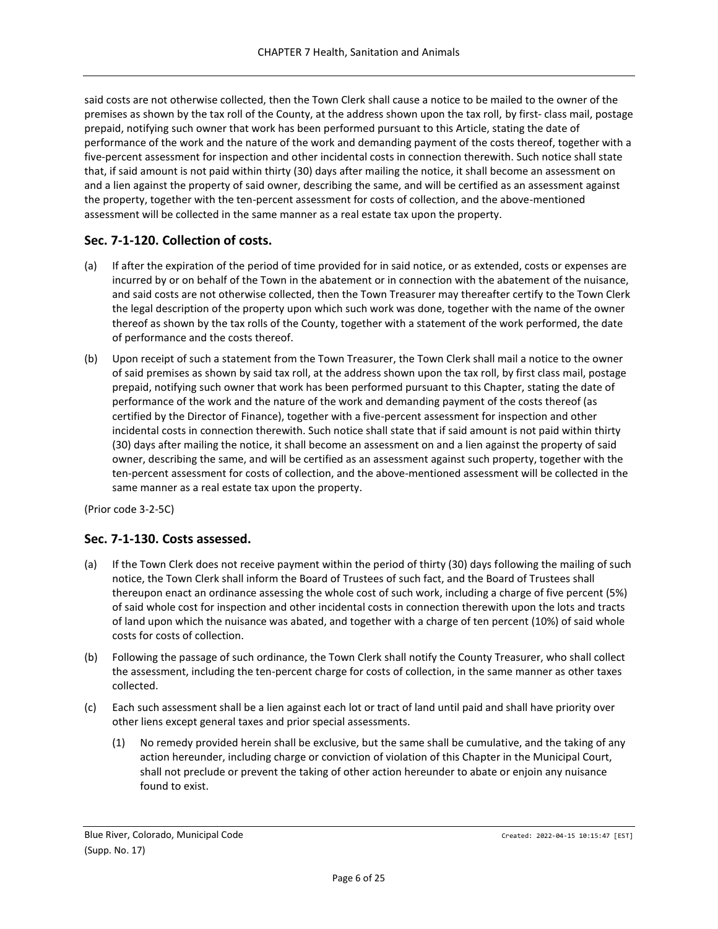said costs are not otherwise collected, then the Town Clerk shall cause a notice to be mailed to the owner of the premises as shown by the tax roll of the County, at the address shown upon the tax roll, by first- class mail, postage prepaid, notifying such owner that work has been performed pursuant to this Article, stating the date of performance of the work and the nature of the work and demanding payment of the costs thereof, together with a five-percent assessment for inspection and other incidental costs in connection therewith. Such notice shall state that, if said amount is not paid within thirty (30) days after mailing the notice, it shall become an assessment on and a lien against the property of said owner, describing the same, and will be certified as an assessment against the property, together with the ten-percent assessment for costs of collection, and the above-mentioned assessment will be collected in the same manner as a real estate tax upon the property.

# <span id="page-5-0"></span>**Sec. 7-1-120. Collection of costs.**

- (a) If after the expiration of the period of time provided for in said notice, or as extended, costs or expenses are incurred by or on behalf of the Town in the abatement or in connection with the abatement of the nuisance, and said costs are not otherwise collected, then the Town Treasurer may thereafter certify to the Town Clerk the legal description of the property upon which such work was done, together with the name of the owner thereof as shown by the tax rolls of the County, together with a statement of the work performed, the date of performance and the costs thereof.
- (b) Upon receipt of such a statement from the Town Treasurer, the Town Clerk shall mail a notice to the owner of said premises as shown by said tax roll, at the address shown upon the tax roll, by first class mail, postage prepaid, notifying such owner that work has been performed pursuant to this Chapter, stating the date of performance of the work and the nature of the work and demanding payment of the costs thereof (as certified by the Director of Finance), together with a five-percent assessment for inspection and other incidental costs in connection therewith. Such notice shall state that if said amount is not paid within thirty (30) days after mailing the notice, it shall become an assessment on and a lien against the property of said owner, describing the same, and will be certified as an assessment against such property, together with the ten-percent assessment for costs of collection, and the above-mentioned assessment will be collected in the same manner as a real estate tax upon the property.

(Prior code 3-2-5C)

# <span id="page-5-1"></span>**Sec. 7-1-130. Costs assessed.**

- (a) If the Town Clerk does not receive payment within the period of thirty (30) days following the mailing of such notice, the Town Clerk shall inform the Board of Trustees of such fact, and the Board of Trustees shall thereupon enact an ordinance assessing the whole cost of such work, including a charge of five percent (5%) of said whole cost for inspection and other incidental costs in connection therewith upon the lots and tracts of land upon which the nuisance was abated, and together with a charge of ten percent (10%) of said whole costs for costs of collection.
- (b) Following the passage of such ordinance, the Town Clerk shall notify the County Treasurer, who shall collect the assessment, including the ten-percent charge for costs of collection, in the same manner as other taxes collected.
- (c) Each such assessment shall be a lien against each lot or tract of land until paid and shall have priority over other liens except general taxes and prior special assessments.
	- (1) No remedy provided herein shall be exclusive, but the same shall be cumulative, and the taking of any action hereunder, including charge or conviction of violation of this Chapter in the Municipal Court, shall not preclude or prevent the taking of other action hereunder to abate or enjoin any nuisance found to exist.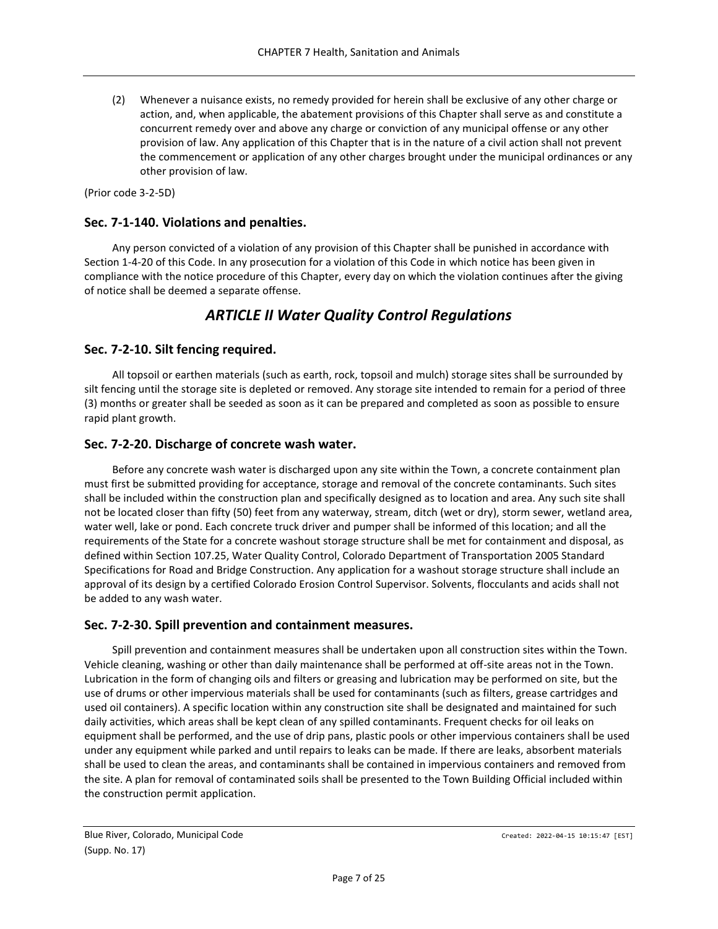(2) Whenever a nuisance exists, no remedy provided for herein shall be exclusive of any other charge or action, and, when applicable, the abatement provisions of this Chapter shall serve as and constitute a concurrent remedy over and above any charge or conviction of any municipal offense or any other provision of law. Any application of this Chapter that is in the nature of a civil action shall not prevent the commencement or application of any other charges brought under the municipal ordinances or any other provision of law.

(Prior code 3-2-5D)

## <span id="page-6-0"></span>**Sec. 7-1-140. Violations and penalties.**

Any person convicted of a violation of any provision of this Chapter shall be punished in accordance with Section 1-4-20 of this Code. In any prosecution for a violation of this Code in which notice has been given in compliance with the notice procedure of this Chapter, every day on which the violation continues after the giving of notice shall be deemed a separate offense.

# *ARTICLE II Water Quality Control Regulations*

## <span id="page-6-2"></span><span id="page-6-1"></span>**Sec. 7-2-10. Silt fencing required.**

All topsoil or earthen materials (such as earth, rock, topsoil and mulch) storage sites shall be surrounded by silt fencing until the storage site is depleted or removed. Any storage site intended to remain for a period of three (3) months or greater shall be seeded as soon as it can be prepared and completed as soon as possible to ensure rapid plant growth.

## <span id="page-6-3"></span>**Sec. 7-2-20. Discharge of concrete wash water.**

Before any concrete wash water is discharged upon any site within the Town, a concrete containment plan must first be submitted providing for acceptance, storage and removal of the concrete contaminants. Such sites shall be included within the construction plan and specifically designed as to location and area. Any such site shall not be located closer than fifty (50) feet from any waterway, stream, ditch (wet or dry), storm sewer, wetland area, water well, lake or pond. Each concrete truck driver and pumper shall be informed of this location; and all the requirements of the State for a concrete washout storage structure shall be met for containment and disposal, as defined within Section 107.25, Water Quality Control, Colorado Department of Transportation 2005 Standard Specifications for Road and Bridge Construction. Any application for a washout storage structure shall include an approval of its design by a certified Colorado Erosion Control Supervisor. Solvents, flocculants and acids shall not be added to any wash water.

### <span id="page-6-4"></span>**Sec. 7-2-30. Spill prevention and containment measures.**

Spill prevention and containment measures shall be undertaken upon all construction sites within the Town. Vehicle cleaning, washing or other than daily maintenance shall be performed at off-site areas not in the Town. Lubrication in the form of changing oils and filters or greasing and lubrication may be performed on site, but the use of drums or other impervious materials shall be used for contaminants (such as filters, grease cartridges and used oil containers). A specific location within any construction site shall be designated and maintained for such daily activities, which areas shall be kept clean of any spilled contaminants. Frequent checks for oil leaks on equipment shall be performed, and the use of drip pans, plastic pools or other impervious containers shall be used under any equipment while parked and until repairs to leaks can be made. If there are leaks, absorbent materials shall be used to clean the areas, and contaminants shall be contained in impervious containers and removed from the site. A plan for removal of contaminated soils shall be presented to the Town Building Official included within the construction permit application.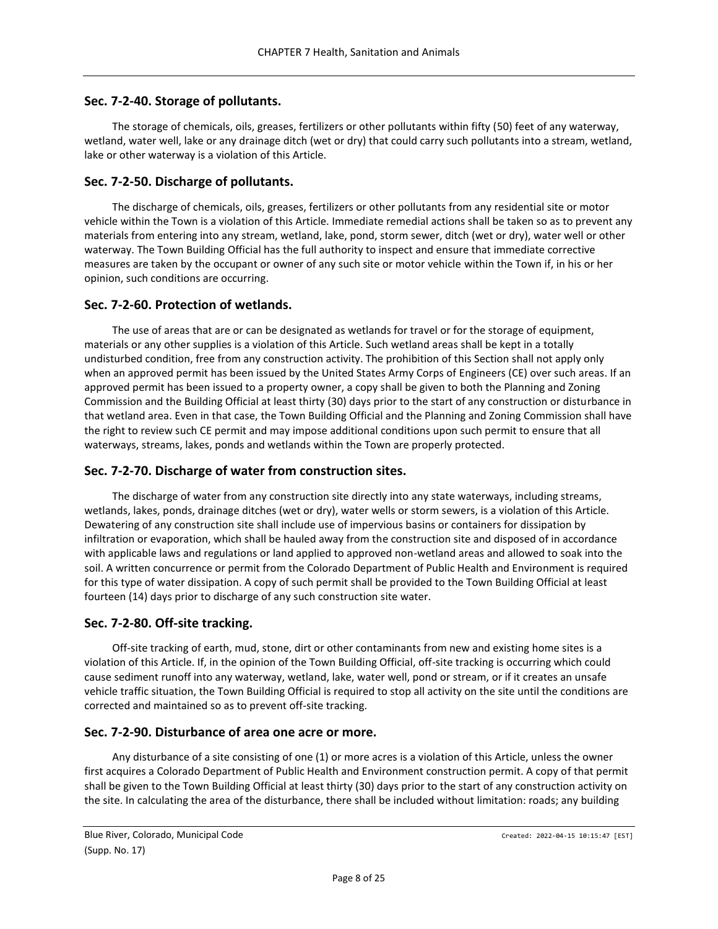# <span id="page-7-0"></span>**Sec. 7-2-40. Storage of pollutants.**

The storage of chemicals, oils, greases, fertilizers or other pollutants within fifty (50) feet of any waterway, wetland, water well, lake or any drainage ditch (wet or dry) that could carry such pollutants into a stream, wetland, lake or other waterway is a violation of this Article.

# <span id="page-7-1"></span>**Sec. 7-2-50. Discharge of pollutants.**

The discharge of chemicals, oils, greases, fertilizers or other pollutants from any residential site or motor vehicle within the Town is a violation of this Article. Immediate remedial actions shall be taken so as to prevent any materials from entering into any stream, wetland, lake, pond, storm sewer, ditch (wet or dry), water well or other waterway. The Town Building Official has the full authority to inspect and ensure that immediate corrective measures are taken by the occupant or owner of any such site or motor vehicle within the Town if, in his or her opinion, such conditions are occurring.

# <span id="page-7-2"></span>**Sec. 7-2-60. Protection of wetlands.**

The use of areas that are or can be designated as wetlands for travel or for the storage of equipment, materials or any other supplies is a violation of this Article. Such wetland areas shall be kept in a totally undisturbed condition, free from any construction activity. The prohibition of this Section shall not apply only when an approved permit has been issued by the United States Army Corps of Engineers (CE) over such areas. If an approved permit has been issued to a property owner, a copy shall be given to both the Planning and Zoning Commission and the Building Official at least thirty (30) days prior to the start of any construction or disturbance in that wetland area. Even in that case, the Town Building Official and the Planning and Zoning Commission shall have the right to review such CE permit and may impose additional conditions upon such permit to ensure that all waterways, streams, lakes, ponds and wetlands within the Town are properly protected.

# <span id="page-7-3"></span>**Sec. 7-2-70. Discharge of water from construction sites.**

The discharge of water from any construction site directly into any state waterways, including streams, wetlands, lakes, ponds, drainage ditches (wet or dry), water wells or storm sewers, is a violation of this Article. Dewatering of any construction site shall include use of impervious basins or containers for dissipation by infiltration or evaporation, which shall be hauled away from the construction site and disposed of in accordance with applicable laws and regulations or land applied to approved non-wetland areas and allowed to soak into the soil. A written concurrence or permit from the Colorado Department of Public Health and Environment is required for this type of water dissipation. A copy of such permit shall be provided to the Town Building Official at least fourteen (14) days prior to discharge of any such construction site water.

# <span id="page-7-4"></span>**Sec. 7-2-80. Off-site tracking.**

Off-site tracking of earth, mud, stone, dirt or other contaminants from new and existing home sites is a violation of this Article. If, in the opinion of the Town Building Official, off-site tracking is occurring which could cause sediment runoff into any waterway, wetland, lake, water well, pond or stream, or if it creates an unsafe vehicle traffic situation, the Town Building Official is required to stop all activity on the site until the conditions are corrected and maintained so as to prevent off-site tracking.

# <span id="page-7-5"></span>**Sec. 7-2-90. Disturbance of area one acre or more.**

Any disturbance of a site consisting of one (1) or more acres is a violation of this Article, unless the owner first acquires a Colorado Department of Public Health and Environment construction permit. A copy of that permit shall be given to the Town Building Official at least thirty (30) days prior to the start of any construction activity on the site. In calculating the area of the disturbance, there shall be included without limitation: roads; any building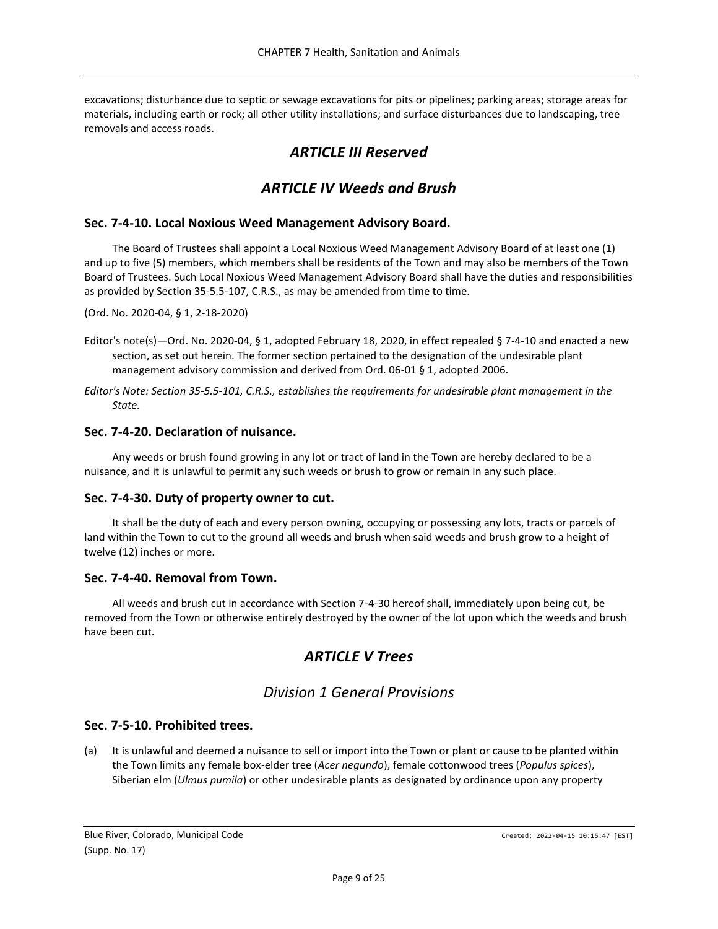<span id="page-8-0"></span>excavations; disturbance due to septic or sewage excavations for pits or pipelines; parking areas; storage areas for materials, including earth or rock; all other utility installations; and surface disturbances due to landscaping, tree removals and access roads.

# *ARTICLE III Reserved*

# *ARTICLE IV Weeds and Brush*

# <span id="page-8-2"></span><span id="page-8-1"></span>**Sec. 7-4-10. Local Noxious Weed Management Advisory Board.**

The Board of Trustees shall appoint a Local Noxious Weed Management Advisory Board of at least one (1) and up to five (5) members, which members shall be residents of the Town and may also be members of the Town Board of Trustees. Such Local Noxious Weed Management Advisory Board shall have the duties and responsibilities as provided by Section 35-5.5-107, C.R.S., as may be amended from time to time.

(Ord. No. 2020-04, § 1, 2-18-2020)

- Editor's note(s)—Ord. No. 2020-04, § 1, adopted February 18, 2020, in effect repealed § 7-4-10 and enacted a new section, as set out herein. The former section pertained to the designation of the undesirable plant management advisory commission and derived from Ord. 06-01 § 1, adopted 2006.
- *Editor's Note: Section 35-5.5-101, C.R.S., establishes the requirements for undesirable plant management in the State.*

## <span id="page-8-3"></span>**Sec. 7-4-20. Declaration of nuisance.**

Any weeds or brush found growing in any lot or tract of land in the Town are hereby declared to be a nuisance, and it is unlawful to permit any such weeds or brush to grow or remain in any such place.

### <span id="page-8-4"></span>**Sec. 7-4-30. Duty of property owner to cut.**

It shall be the duty of each and every person owning, occupying or possessing any lots, tracts or parcels of land within the Town to cut to the ground all weeds and brush when said weeds and brush grow to a height of twelve (12) inches or more.

# <span id="page-8-5"></span>**Sec. 7-4-40. Removal from Town.**

<span id="page-8-6"></span>All weeds and brush cut in accordance with Section 7-4-30 hereof shall, immediately upon being cut, be removed from the Town or otherwise entirely destroyed by the owner of the lot upon which the weeds and brush have been cut.

# *ARTICLE V Trees*

# *Division 1 General Provisions*

# <span id="page-8-8"></span><span id="page-8-7"></span>**Sec. 7-5-10. Prohibited trees.**

(a) It is unlawful and deemed a nuisance to sell or import into the Town or plant or cause to be planted within the Town limits any female box-elder tree (*Acer negundo*), female cottonwood trees (*Populus spices*), Siberian elm (*Ulmus pumila*) or other undesirable plants as designated by ordinance upon any property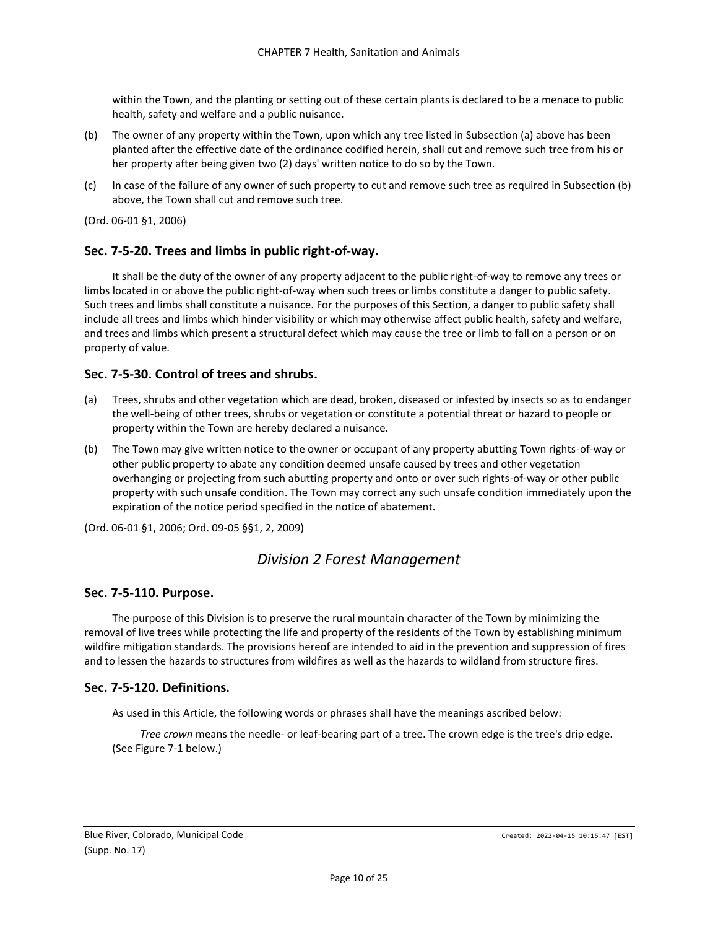within the Town, and the planting or setting out of these certain plants is declared to be a menace to public health, safety and welfare and a public nuisance.

- (b) The owner of any property within the Town, upon which any tree listed in Subsection (a) above has been planted after the effective date of the ordinance codified herein, shall cut and remove such tree from his or her property after being given two (2) days' written notice to do so by the Town.
- (c) In case of the failure of any owner of such property to cut and remove such tree as required in Subsection (b) above, the Town shall cut and remove such tree.

(Ord. 06-01 §1, 2006)

# <span id="page-9-0"></span>**Sec. 7-5-20. Trees and limbs in public right-of-way.**

It shall be the duty of the owner of any property adjacent to the public right-of-way to remove any trees or limbs located in or above the public right-of-way when such trees or limbs constitute a danger to public safety. Such trees and limbs shall constitute a nuisance. For the purposes of this Section, a danger to public safety shall include all trees and limbs which hinder visibility or which may otherwise affect public health, safety and welfare, and trees and limbs which present a structural defect which may cause the tree or limb to fall on a person or on property of value.

# <span id="page-9-1"></span>**Sec. 7-5-30. Control of trees and shrubs.**

- (a) Trees, shrubs and other vegetation which are dead, broken, diseased or infested by insects so as to endanger the well-being of other trees, shrubs or vegetation or constitute a potential threat or hazard to people or property within the Town are hereby declared a nuisance.
- (b) The Town may give written notice to the owner or occupant of any property abutting Town rights-of-way or other public property to abate any condition deemed unsafe caused by trees and other vegetation overhanging or projecting from such abutting property and onto or over such rights-of-way or other public property with such unsafe condition. The Town may correct any such unsafe condition immediately upon the expiration of the notice period specified in the notice of abatement.

<span id="page-9-2"></span>(Ord. 06-01 §1, 2006; Ord. 09-05 §§1, 2, 2009)

# *Division 2 Forest Management*

# <span id="page-9-3"></span>**Sec. 7-5-110. Purpose.**

The purpose of this Division is to preserve the rural mountain character of the Town by minimizing the removal of live trees while protecting the life and property of the residents of the Town by establishing minimum wildfire mitigation standards. The provisions hereof are intended to aid in the prevention and suppression of fires and to lessen the hazards to structures from wildfires as well as the hazards to wildland from structure fires.

# <span id="page-9-4"></span>**Sec. 7-5-120. Definitions.**

As used in this Article, the following words or phrases shall have the meanings ascribed below:

*Tree crown* means the needle- or leaf-bearing part of a tree. The crown edge is the tree's drip edge. (See Figure 7-1 below.)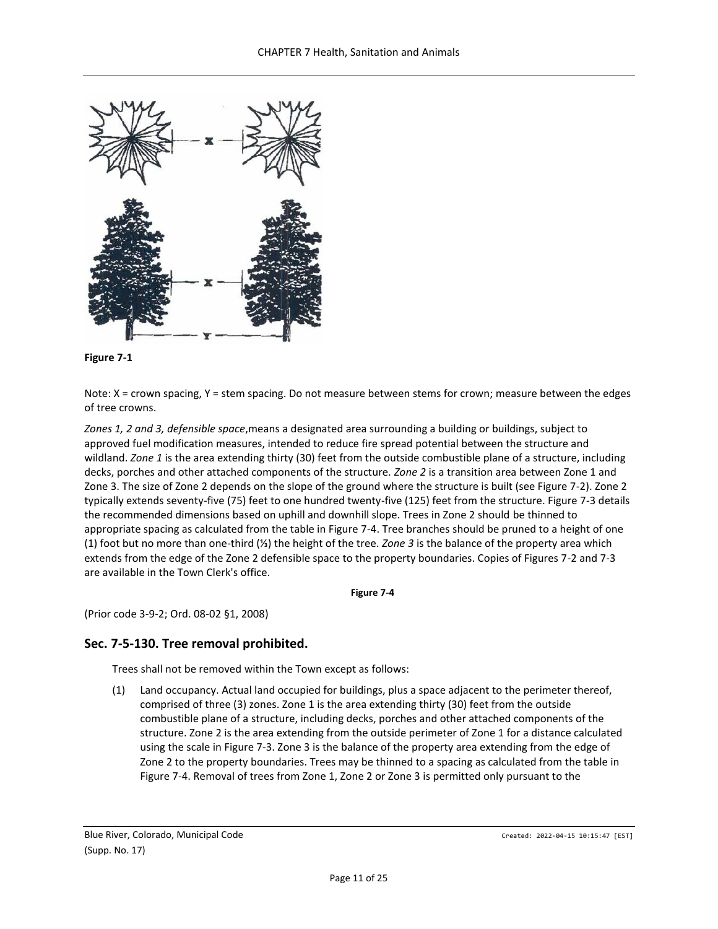



Note: X = crown spacing, Y = stem spacing. Do not measure between stems for crown; measure between the edges of tree crowns.

*Zones 1, 2 and 3, defensible space*,means a designated area surrounding a building or buildings, subject to approved fuel modification measures, intended to reduce fire spread potential between the structure and wildland. *Zone 1* is the area extending thirty (30) feet from the outside combustible plane of a structure, including decks, porches and other attached components of the structure. *Zone 2* is a transition area between Zone 1 and Zone 3. The size of Zone 2 depends on the slope of the ground where the structure is built (see Figure 7-2). Zone 2 typically extends seventy-five (75) feet to one hundred twenty-five (125) feet from the structure. Figure 7-3 details the recommended dimensions based on uphill and downhill slope. Trees in Zone 2 should be thinned to appropriate spacing as calculated from the table in Figure 7-4. Tree branches should be pruned to a height of one (1) foot but no more than one-third (⅓) the height of the tree. *Zone 3* is the balance of the property area which extends from the edge of the Zone 2 defensible space to the property boundaries. Copies of Figures 7-2 and 7-3 are available in the Town Clerk's office.

**Figure 7-4**

(Prior code 3-9-2; Ord. 08-02 §1, 2008)

### <span id="page-10-0"></span>**Sec. 7-5-130. Tree removal prohibited.**

Trees shall not be removed within the Town except as follows:

(1) Land occupancy. Actual land occupied for buildings, plus a space adjacent to the perimeter thereof, comprised of three (3) zones. Zone 1 is the area extending thirty (30) feet from the outside combustible plane of a structure, including decks, porches and other attached components of the structure. Zone 2 is the area extending from the outside perimeter of Zone 1 for a distance calculated using the scale in Figure 7-3. Zone 3 is the balance of the property area extending from the edge of Zone 2 to the property boundaries. Trees may be thinned to a spacing as calculated from the table in Figure 7-4. Removal of trees from Zone 1, Zone 2 or Zone 3 is permitted only pursuant to the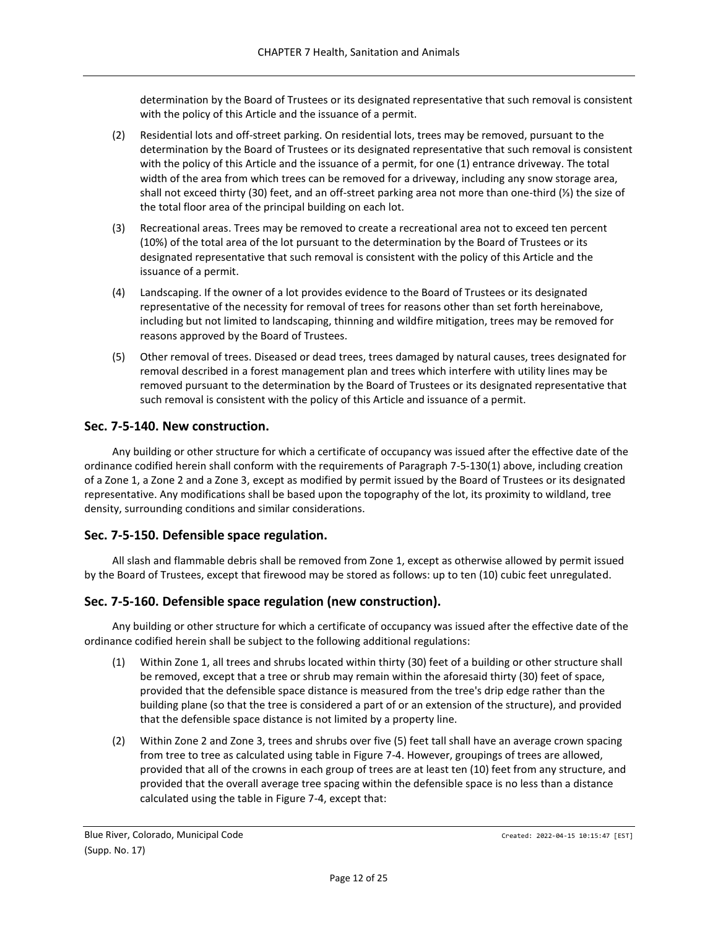determination by the Board of Trustees or its designated representative that such removal is consistent with the policy of this Article and the issuance of a permit.

- (2) Residential lots and off-street parking. On residential lots, trees may be removed, pursuant to the determination by the Board of Trustees or its designated representative that such removal is consistent with the policy of this Article and the issuance of a permit, for one (1) entrance driveway. The total width of the area from which trees can be removed for a driveway, including any snow storage area, shall not exceed thirty (30) feet, and an off-street parking area not more than one-third (⅓) the size of the total floor area of the principal building on each lot.
- (3) Recreational areas. Trees may be removed to create a recreational area not to exceed ten percent (10%) of the total area of the lot pursuant to the determination by the Board of Trustees or its designated representative that such removal is consistent with the policy of this Article and the issuance of a permit.
- (4) Landscaping. If the owner of a lot provides evidence to the Board of Trustees or its designated representative of the necessity for removal of trees for reasons other than set forth hereinabove, including but not limited to landscaping, thinning and wildfire mitigation, trees may be removed for reasons approved by the Board of Trustees.
- (5) Other removal of trees. Diseased or dead trees, trees damaged by natural causes, trees designated for removal described in a forest management plan and trees which interfere with utility lines may be removed pursuant to the determination by the Board of Trustees or its designated representative that such removal is consistent with the policy of this Article and issuance of a permit.

# <span id="page-11-0"></span>**Sec. 7-5-140. New construction.**

Any building or other structure for which a certificate of occupancy was issued after the effective date of the ordinance codified herein shall conform with the requirements of Paragraph 7-5-130(1) above, including creation of a Zone 1, a Zone 2 and a Zone 3, except as modified by permit issued by the Board of Trustees or its designated representative. Any modifications shall be based upon the topography of the lot, its proximity to wildland, tree density, surrounding conditions and similar considerations.

# <span id="page-11-1"></span>**Sec. 7-5-150. Defensible space regulation.**

All slash and flammable debris shall be removed from Zone 1, except as otherwise allowed by permit issued by the Board of Trustees, except that firewood may be stored as follows: up to ten (10) cubic feet unregulated.

# <span id="page-11-2"></span>**Sec. 7-5-160. Defensible space regulation (new construction).**

Any building or other structure for which a certificate of occupancy was issued after the effective date of the ordinance codified herein shall be subject to the following additional regulations:

- (1) Within Zone 1, all trees and shrubs located within thirty (30) feet of a building or other structure shall be removed, except that a tree or shrub may remain within the aforesaid thirty (30) feet of space, provided that the defensible space distance is measured from the tree's drip edge rather than the building plane (so that the tree is considered a part of or an extension of the structure), and provided that the defensible space distance is not limited by a property line.
- (2) Within Zone 2 and Zone 3, trees and shrubs over five (5) feet tall shall have an average crown spacing from tree to tree as calculated using table in Figure 7-4. However, groupings of trees are allowed, provided that all of the crowns in each group of trees are at least ten (10) feet from any structure, and provided that the overall average tree spacing within the defensible space is no less than a distance calculated using the table in Figure 7-4, except that: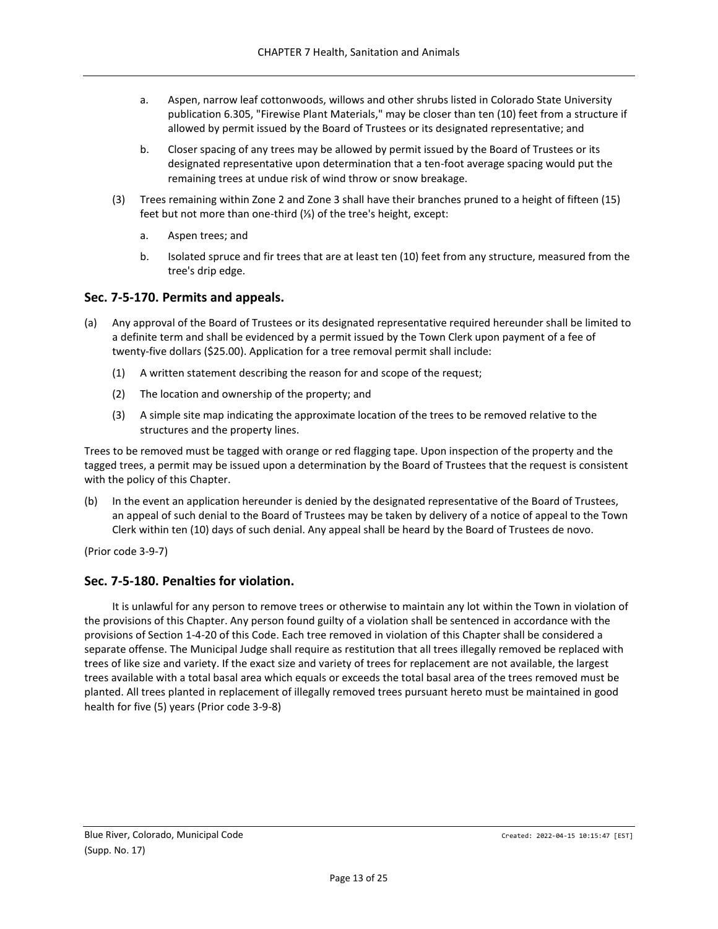- a. Aspen, narrow leaf cottonwoods, willows and other shrubs listed in Colorado State University publication 6.305, "Firewise Plant Materials," may be closer than ten (10) feet from a structure if allowed by permit issued by the Board of Trustees or its designated representative; and
- b. Closer spacing of any trees may be allowed by permit issued by the Board of Trustees or its designated representative upon determination that a ten-foot average spacing would put the remaining trees at undue risk of wind throw or snow breakage.
- (3) Trees remaining within Zone 2 and Zone 3 shall have their branches pruned to a height of fifteen (15) feet but not more than one-third (⅓) of the tree's height, except:
	- a. Aspen trees; and
	- b. Isolated spruce and fir trees that are at least ten (10) feet from any structure, measured from the tree's drip edge.

## <span id="page-12-0"></span>**Sec. 7-5-170. Permits and appeals.**

- (a) Any approval of the Board of Trustees or its designated representative required hereunder shall be limited to a definite term and shall be evidenced by a permit issued by the Town Clerk upon payment of a fee of twenty-five dollars (\$25.00). Application for a tree removal permit shall include:
	- (1) A written statement describing the reason for and scope of the request;
	- (2) The location and ownership of the property; and
	- (3) A simple site map indicating the approximate location of the trees to be removed relative to the structures and the property lines.

Trees to be removed must be tagged with orange or red flagging tape. Upon inspection of the property and the tagged trees, a permit may be issued upon a determination by the Board of Trustees that the request is consistent with the policy of this Chapter.

(b) In the event an application hereunder is denied by the designated representative of the Board of Trustees, an appeal of such denial to the Board of Trustees may be taken by delivery of a notice of appeal to the Town Clerk within ten (10) days of such denial. Any appeal shall be heard by the Board of Trustees de novo.

(Prior code 3-9-7)

### <span id="page-12-1"></span>**Sec. 7-5-180. Penalties for violation.**

It is unlawful for any person to remove trees or otherwise to maintain any lot within the Town in violation of the provisions of this Chapter. Any person found guilty of a violation shall be sentenced in accordance with the provisions of Section 1-4-20 of this Code. Each tree removed in violation of this Chapter shall be considered a separate offense. The Municipal Judge shall require as restitution that all trees illegally removed be replaced with trees of like size and variety. If the exact size and variety of trees for replacement are not available, the largest trees available with a total basal area which equals or exceeds the total basal area of the trees removed must be planted. All trees planted in replacement of illegally removed trees pursuant hereto must be maintained in good health for five (5) years (Prior code 3-9-8)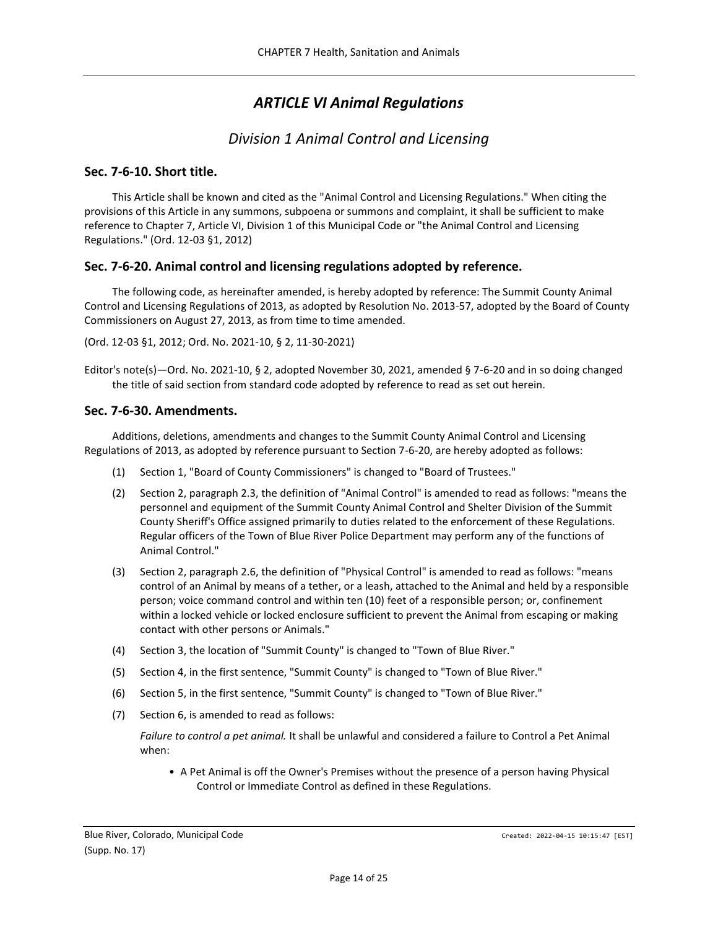# *ARTICLE VI Animal Regulations*

# *Division 1 Animal Control and Licensing*

# <span id="page-13-2"></span><span id="page-13-1"></span><span id="page-13-0"></span>**Sec. 7-6-10. Short title.**

This Article shall be known and cited as the "Animal Control and Licensing Regulations." When citing the provisions of this Article in any summons, subpoena or summons and complaint, it shall be sufficient to make reference to Chapter 7, Article VI, Division 1 of this Municipal Code or "the Animal Control and Licensing Regulations." (Ord. 12-03 §1, 2012)

# <span id="page-13-3"></span>**Sec. 7-6-20. Animal control and licensing regulations adopted by reference.**

The following code, as hereinafter amended, is hereby adopted by reference: The Summit County Animal Control and Licensing Regulations of 2013, as adopted by Resolution No. 2013-57, adopted by the Board of County Commissioners on August 27, 2013, as from time to time amended.

(Ord. 12-03 §1, 2012; Ord. No. 2021-10, § 2, 11-30-2021)

Editor's note(s)—Ord. No. 2021-10, § 2, adopted November 30, 2021, amended § 7-6-20 and in so doing changed the title of said section from standard code adopted by reference to read as set out herein.

## <span id="page-13-4"></span>**Sec. 7-6-30. Amendments.**

Additions, deletions, amendments and changes to the Summit County Animal Control and Licensing Regulations of 2013, as adopted by reference pursuant to Section 7-6-20, are hereby adopted as follows:

- (1) Section 1, "Board of County Commissioners" is changed to "Board of Trustees."
- (2) Section 2, paragraph 2.3, the definition of "Animal Control" is amended to read as follows: "means the personnel and equipment of the Summit County Animal Control and Shelter Division of the Summit County Sheriff's Office assigned primarily to duties related to the enforcement of these Regulations. Regular officers of the Town of Blue River Police Department may perform any of the functions of Animal Control."
- (3) Section 2, paragraph 2.6, the definition of "Physical Control" is amended to read as follows: "means control of an Animal by means of a tether, or a leash, attached to the Animal and held by a responsible person; voice command control and within ten (10) feet of a responsible person; or, confinement within a locked vehicle or locked enclosure sufficient to prevent the Animal from escaping or making contact with other persons or Animals."
- (4) Section 3, the location of "Summit County" is changed to "Town of Blue River."
- (5) Section 4, in the first sentence, "Summit County" is changed to "Town of Blue River."
- (6) Section 5, in the first sentence, "Summit County" is changed to "Town of Blue River."
- (7) Section 6, is amended to read as follows:

*Failure to control a pet animal.* It shall be unlawful and considered a failure to Control a Pet Animal when:

• A Pet Animal is off the Owner's Premises without the presence of a person having Physical Control or Immediate Control as defined in these Regulations.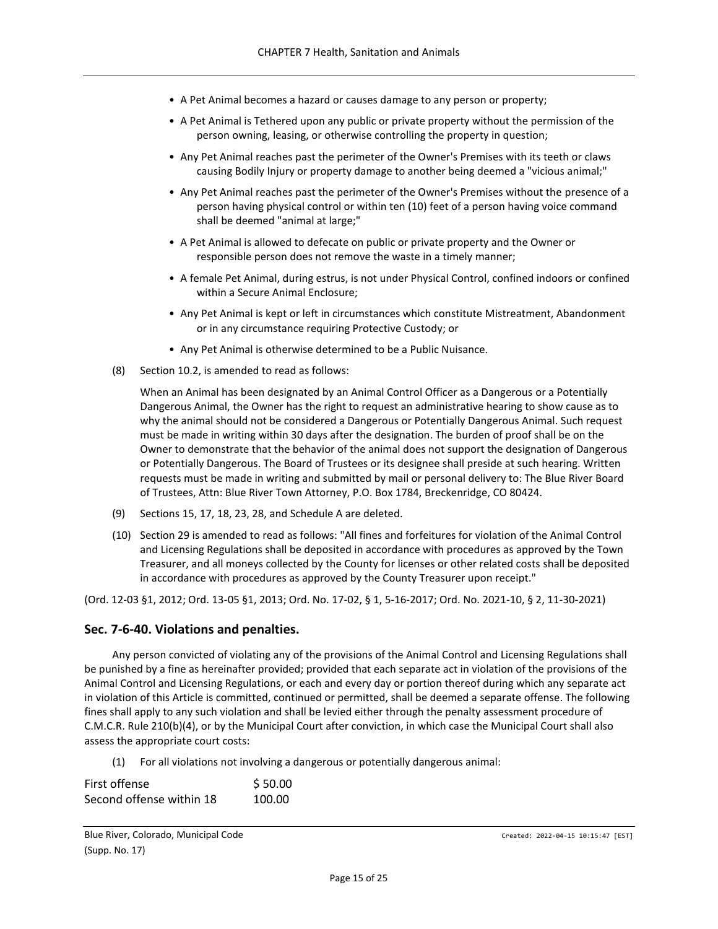- A Pet Animal becomes a hazard or causes damage to any person or property;
- A Pet Animal is Tethered upon any public or private property without the permission of the person owning, leasing, or otherwise controlling the property in question;
- Any Pet Animal reaches past the perimeter of the Owner's Premises with its teeth or claws causing Bodily Injury or property damage to another being deemed a "vicious animal;"
- Any Pet Animal reaches past the perimeter of the Owner's Premises without the presence of a person having physical control or within ten (10) feet of a person having voice command shall be deemed "animal at large;"
- A Pet Animal is allowed to defecate on public or private property and the Owner or responsible person does not remove the waste in a timely manner;
- A female Pet Animal, during estrus, is not under Physical Control, confined indoors or confined within a Secure Animal Enclosure;
- Any Pet Animal is kept or left in circumstances which constitute Mistreatment, Abandonment or in any circumstance requiring Protective Custody; or
- Any Pet Animal is otherwise determined to be a Public Nuisance.
- (8) Section 10.2, is amended to read as follows:

When an Animal has been designated by an Animal Control Officer as a Dangerous or a Potentially Dangerous Animal, the Owner has the right to request an administrative hearing to show cause as to why the animal should not be considered a Dangerous or Potentially Dangerous Animal. Such request must be made in writing within 30 days after the designation. The burden of proof shall be on the Owner to demonstrate that the behavior of the animal does not support the designation of Dangerous or Potentially Dangerous. The Board of Trustees or its designee shall preside at such hearing. Written requests must be made in writing and submitted by mail or personal delivery to: The Blue River Board of Trustees, Attn: Blue River Town Attorney, P.O. Box 1784, Breckenridge, CO 80424.

- (9) Sections 15, 17, 18, 23, 28, and Schedule A are deleted.
- (10) Section 29 is amended to read as follows: "All fines and forfeitures for violation of the Animal Control and Licensing Regulations shall be deposited in accordance with procedures as approved by the Town Treasurer, and all moneys collected by the County for licenses or other related costs shall be deposited in accordance with procedures as approved by the County Treasurer upon receipt."

(Ord. 12-03 §1, 2012; Ord. 13-05 §1, 2013; Ord. No. 17-02, § 1, 5-16-2017; Ord. No. 2021-10, § 2, 11-30-2021)

### <span id="page-14-0"></span>**Sec. 7-6-40. Violations and penalties.**

Any person convicted of violating any of the provisions of the Animal Control and Licensing Regulations shall be punished by a fine as hereinafter provided; provided that each separate act in violation of the provisions of the Animal Control and Licensing Regulations, or each and every day or portion thereof during which any separate act in violation of this Article is committed, continued or permitted, shall be deemed a separate offense. The following fines shall apply to any such violation and shall be levied either through the penalty assessment procedure of C.M.C.R. Rule 210(b)(4), or by the Municipal Court after conviction, in which case the Municipal Court shall also assess the appropriate court costs:

(1) For all violations not involving a dangerous or potentially dangerous animal:

| First offense            | \$50.00 |
|--------------------------|---------|
| Second offense within 18 | 100.00  |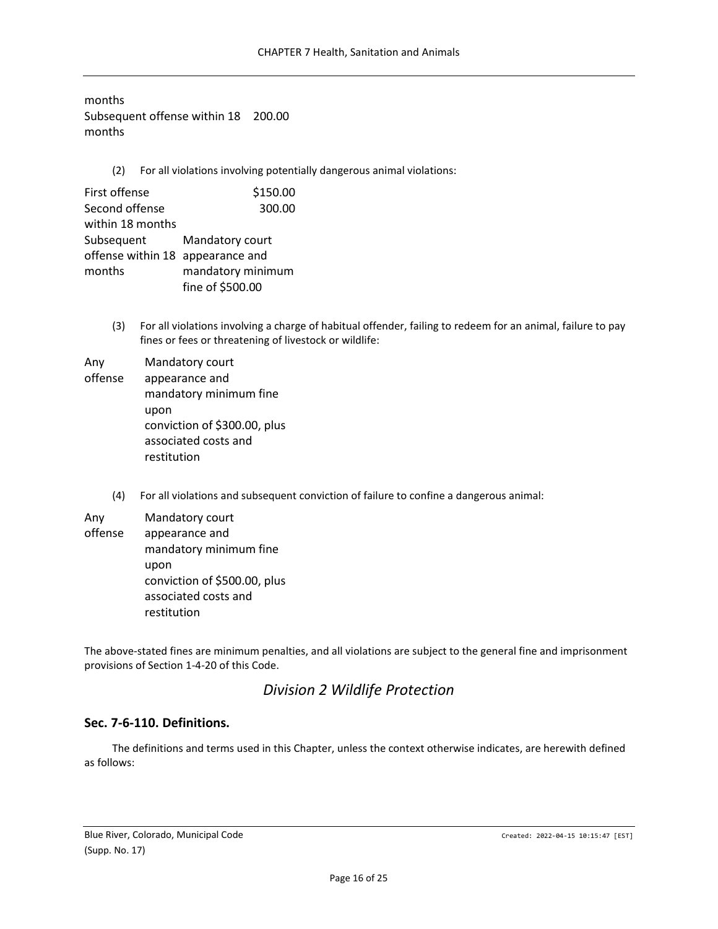months Subsequent offense within 18 200.00 months

(2) For all violations involving potentially dangerous animal violations:

| First offense                    | \$150.00          |
|----------------------------------|-------------------|
| Second offense                   | 300.00            |
| within 18 months                 |                   |
| Subsequent                       | Mandatory court   |
| offense within 18 appearance and |                   |
| months                           | mandatory minimum |
|                                  | fine of \$500.00  |

(3) For all violations involving a charge of habitual offender, failing to redeem for an animal, failure to pay fines or fees or threatening of livestock or wildlife:

| Any     | Mandatory court              |
|---------|------------------------------|
| offense | appearance and               |
|         | mandatory minimum fine       |
|         | upon                         |
|         | conviction of \$300.00, plus |
|         | associated costs and         |
|         | restitution                  |

(4) For all violations and subsequent conviction of failure to confine a dangerous animal:

| Any     | Mandatory court                                                             |
|---------|-----------------------------------------------------------------------------|
| offense | appearance and<br>mandatory minimum fine                                    |
|         | upon<br>conviction of \$500.00, plus<br>associated costs and<br>restitution |

<span id="page-15-0"></span>The above-stated fines are minimum penalties, and all violations are subject to the general fine and imprisonment provisions of Section 1-4-20 of this Code.

# *Division 2 Wildlife Protection*

# <span id="page-15-1"></span>**Sec. 7-6-110. Definitions.**

The definitions and terms used in this Chapter, unless the context otherwise indicates, are herewith defined as follows: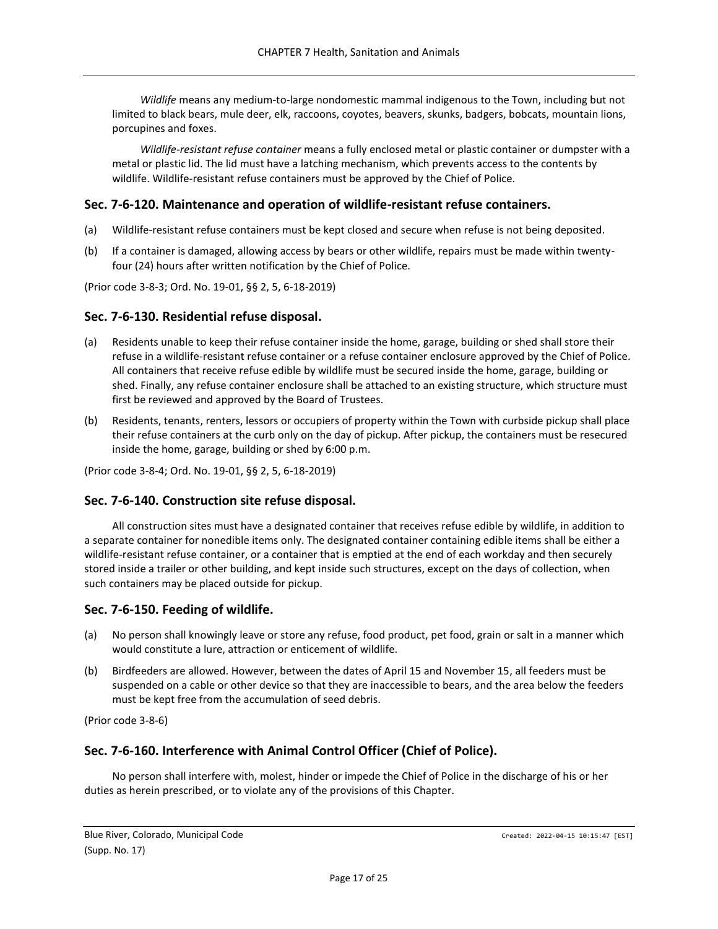*Wildlife* means any medium-to-large nondomestic mammal indigenous to the Town, including but not limited to black bears, mule deer, elk, raccoons, coyotes, beavers, skunks, badgers, bobcats, mountain lions, porcupines and foxes.

*Wildlife-resistant refuse container* means a fully enclosed metal or plastic container or dumpster with a metal or plastic lid. The lid must have a latching mechanism, which prevents access to the contents by wildlife. Wildlife-resistant refuse containers must be approved by the Chief of Police.

## <span id="page-16-0"></span>**Sec. 7-6-120. Maintenance and operation of wildlife-resistant refuse containers.**

- (a) Wildlife-resistant refuse containers must be kept closed and secure when refuse is not being deposited.
- (b) If a container is damaged, allowing access by bears or other wildlife, repairs must be made within twentyfour (24) hours after written notification by the Chief of Police.

(Prior code 3-8-3; Ord. No. 19-01, §§ 2, 5, 6-18-2019)

### <span id="page-16-1"></span>**Sec. 7-6-130. Residential refuse disposal.**

- (a) Residents unable to keep their refuse container inside the home, garage, building or shed shall store their refuse in a wildlife-resistant refuse container or a refuse container enclosure approved by the Chief of Police. All containers that receive refuse edible by wildlife must be secured inside the home, garage, building or shed. Finally, any refuse container enclosure shall be attached to an existing structure, which structure must first be reviewed and approved by the Board of Trustees.
- (b) Residents, tenants, renters, lessors or occupiers of property within the Town with curbside pickup shall place their refuse containers at the curb only on the day of pickup. After pickup, the containers must be resecured inside the home, garage, building or shed by 6:00 p.m.

(Prior code 3-8-4; Ord. No. 19-01, §§ 2, 5, 6-18-2019)

### <span id="page-16-2"></span>**Sec. 7-6-140. Construction site refuse disposal.**

All construction sites must have a designated container that receives refuse edible by wildlife, in addition to a separate container for nonedible items only. The designated container containing edible items shall be either a wildlife-resistant refuse container, or a container that is emptied at the end of each workday and then securely stored inside a trailer or other building, and kept inside such structures, except on the days of collection, when such containers may be placed outside for pickup.

# <span id="page-16-3"></span>**Sec. 7-6-150. Feeding of wildlife.**

- (a) No person shall knowingly leave or store any refuse, food product, pet food, grain or salt in a manner which would constitute a lure, attraction or enticement of wildlife.
- (b) Birdfeeders are allowed. However, between the dates of April 15 and November 15, all feeders must be suspended on a cable or other device so that they are inaccessible to bears, and the area below the feeders must be kept free from the accumulation of seed debris.

(Prior code 3-8-6)

# <span id="page-16-4"></span>**Sec. 7-6-160. Interference with Animal Control Officer (Chief of Police).**

No person shall interfere with, molest, hinder or impede the Chief of Police in the discharge of his or her duties as herein prescribed, or to violate any of the provisions of this Chapter.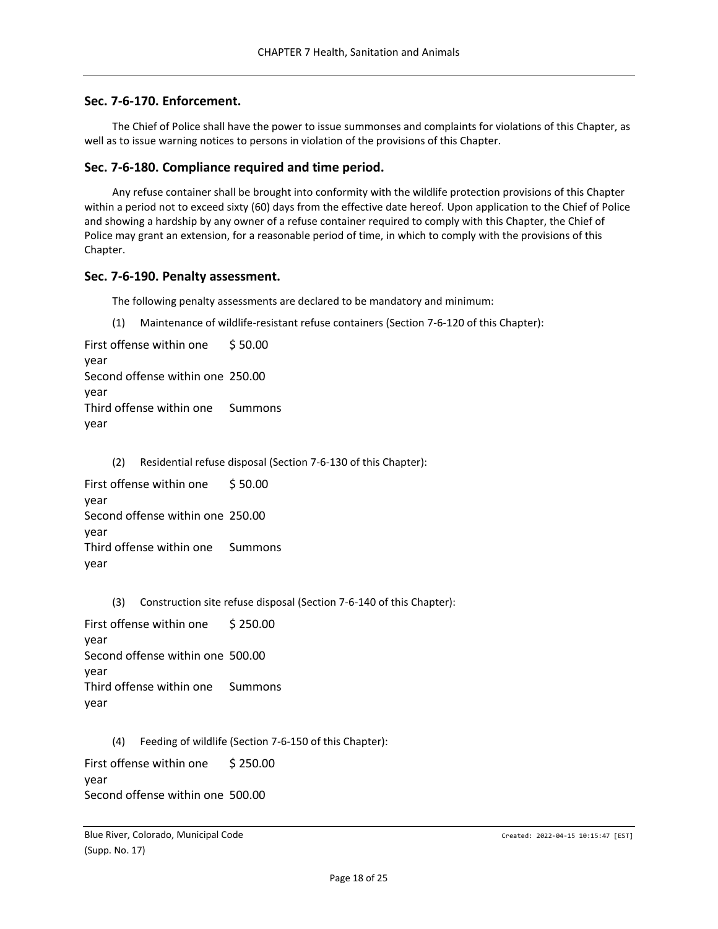### <span id="page-17-0"></span>**Sec. 7-6-170. Enforcement.**

The Chief of Police shall have the power to issue summonses and complaints for violations of this Chapter, as well as to issue warning notices to persons in violation of the provisions of this Chapter.

#### <span id="page-17-1"></span>**Sec. 7-6-180. Compliance required and time period.**

Any refuse container shall be brought into conformity with the wildlife protection provisions of this Chapter within a period not to exceed sixty (60) days from the effective date hereof. Upon application to the Chief of Police and showing a hardship by any owner of a refuse container required to comply with this Chapter, the Chief of Police may grant an extension, for a reasonable period of time, in which to comply with the provisions of this Chapter.

#### <span id="page-17-2"></span>**Sec. 7-6-190. Penalty assessment.**

The following penalty assessments are declared to be mandatory and minimum:

(1) Maintenance of wildlife-resistant refuse containers (Section 7-6-120 of this Chapter):

```
First offense within one 
year 
                           $ 50.00 
Second offense within one 
250.00 
year 
Third offense within one 
year 
                           Summons
```
(2) Residential refuse disposal (Section 7-6-130 of this Chapter):

First offense within one year \$ 50.00 Second offense within one 250.00 year Third offense within one Summons year

(3) Construction site refuse disposal (Section 7-6-140 of this Chapter):

First offense within one year \$ 250.00 Second offense within one 500.00 year Third offense within one year Summons

(4) Feeding of wildlife (Section 7-6-150 of this Chapter):

First offense within one year \$ 250.00 Second offense within one 500.00

Blue River, Colorado, Municipal Code Created: 2022-04-15 10:15:47 [EST] (Supp. No. 17)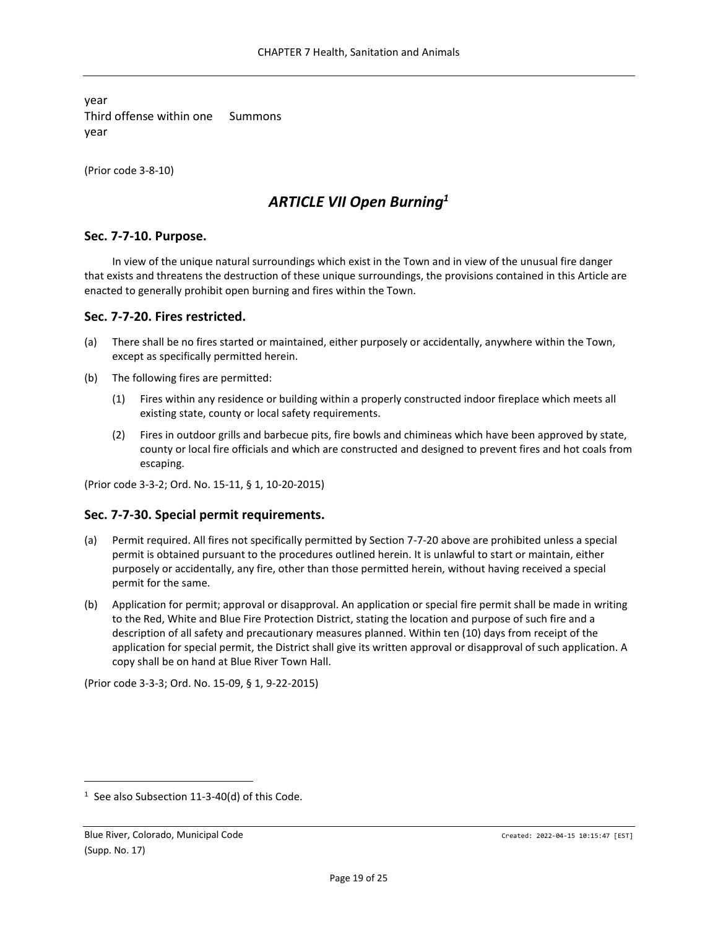year Third offense within one year Summons

<span id="page-18-0"></span>(Prior code 3-8-10)

# *ARTICLE VII Open Burning<sup>1</sup>*

## <span id="page-18-1"></span>**Sec. 7-7-10. Purpose.**

In view of the unique natural surroundings which exist in the Town and in view of the unusual fire danger that exists and threatens the destruction of these unique surroundings, the provisions contained in this Article are enacted to generally prohibit open burning and fires within the Town.

## <span id="page-18-2"></span>**Sec. 7-7-20. Fires restricted.**

- (a) There shall be no fires started or maintained, either purposely or accidentally, anywhere within the Town, except as specifically permitted herein.
- (b) The following fires are permitted:
	- (1) Fires within any residence or building within a properly constructed indoor fireplace which meets all existing state, county or local safety requirements.
	- (2) Fires in outdoor grills and barbecue pits, fire bowls and chimineas which have been approved by state, county or local fire officials and which are constructed and designed to prevent fires and hot coals from escaping.

(Prior code 3-3-2; Ord. No. 15-11, § 1, 10-20-2015)

### <span id="page-18-3"></span>**Sec. 7-7-30. Special permit requirements.**

- (a) Permit required. All fires not specifically permitted by Section 7-7-20 above are prohibited unless a special permit is obtained pursuant to the procedures outlined herein. It is unlawful to start or maintain, either purposely or accidentally, any fire, other than those permitted herein, without having received a special permit for the same.
- (b) Application for permit; approval or disapproval. An application or special fire permit shall be made in writing to the Red, White and Blue Fire Protection District, stating the location and purpose of such fire and a description of all safety and precautionary measures planned. Within ten (10) days from receipt of the application for special permit, the District shall give its written approval or disapproval of such application. A copy shall be on hand at Blue River Town Hall.

(Prior code 3-3-3; Ord. No. 15-09, § 1, 9-22-2015)

 $1$  See also Subsection 11-3-40(d) of this Code.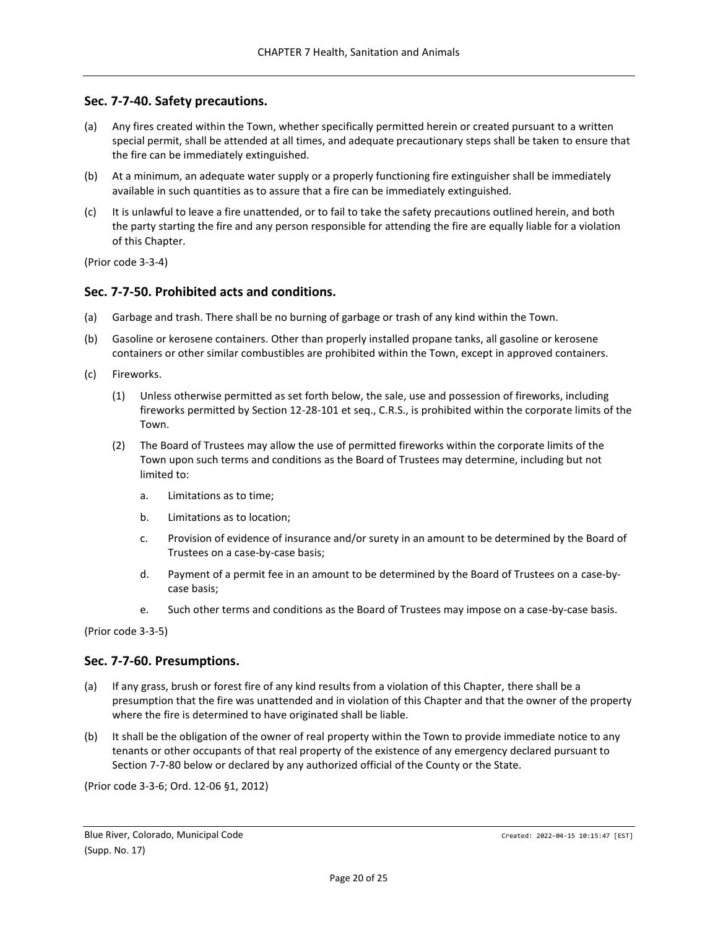## <span id="page-19-0"></span>**Sec. 7-7-40. Safety precautions.**

- (a) Any fires created within the Town, whether specifically permitted herein or created pursuant to a written special permit, shall be attended at all times, and adequate precautionary steps shall be taken to ensure that the fire can be immediately extinguished.
- (b) At a minimum, an adequate water supply or a properly functioning fire extinguisher shall be immediately available in such quantities as to assure that a fire can be immediately extinguished.
- (c) It is unlawful to leave a fire unattended, or to fail to take the safety precautions outlined herein, and both the party starting the fire and any person responsible for attending the fire are equally liable for a violation of this Chapter.

(Prior code 3-3-4)

### <span id="page-19-1"></span>**Sec. 7-7-50. Prohibited acts and conditions.**

- (a) Garbage and trash. There shall be no burning of garbage or trash of any kind within the Town.
- (b) Gasoline or kerosene containers. Other than properly installed propane tanks, all gasoline or kerosene containers or other similar combustibles are prohibited within the Town, except in approved containers.
- (c) Fireworks.
	- (1) Unless otherwise permitted as set forth below, the sale, use and possession of fireworks, including fireworks permitted by Section 12-28-101 et seq., C.R.S., is prohibited within the corporate limits of the Town.
	- (2) The Board of Trustees may allow the use of permitted fireworks within the corporate limits of the Town upon such terms and conditions as the Board of Trustees may determine, including but not limited to:
		- a. Limitations as to time;
		- b. Limitations as to location;
		- c. Provision of evidence of insurance and/or surety in an amount to be determined by the Board of Trustees on a case-by-case basis;
		- d. Payment of a permit fee in an amount to be determined by the Board of Trustees on a case-bycase basis;
		- e. Such other terms and conditions as the Board of Trustees may impose on a case-by-case basis.

(Prior code 3-3-5)

# <span id="page-19-2"></span>**Sec. 7-7-60. Presumptions.**

- (a) If any grass, brush or forest fire of any kind results from a violation of this Chapter, there shall be a presumption that the fire was unattended and in violation of this Chapter and that the owner of the property where the fire is determined to have originated shall be liable.
- (b) It shall be the obligation of the owner of real property within the Town to provide immediate notice to any tenants or other occupants of that real property of the existence of any emergency declared pursuant to Section 7-7-80 below or declared by any authorized official of the County or the State.

(Prior code 3-3-6; Ord. 12-06 §1, 2012)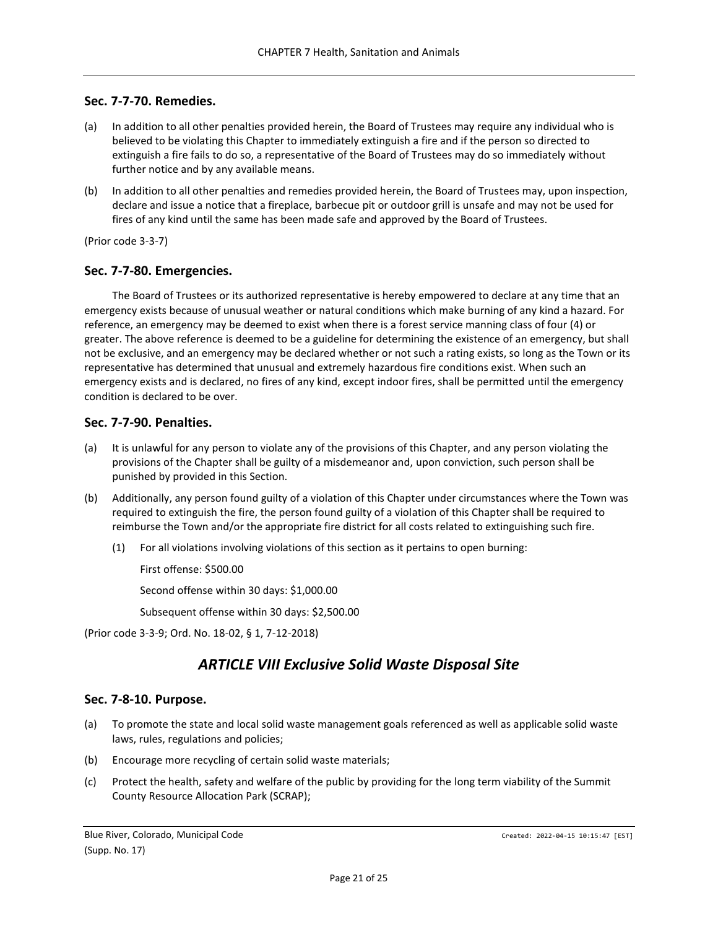### <span id="page-20-0"></span>**Sec. 7-7-70. Remedies.**

- (a) In addition to all other penalties provided herein, the Board of Trustees may require any individual who is believed to be violating this Chapter to immediately extinguish a fire and if the person so directed to extinguish a fire fails to do so, a representative of the Board of Trustees may do so immediately without further notice and by any available means.
- (b) In addition to all other penalties and remedies provided herein, the Board of Trustees may, upon inspection, declare and issue a notice that a fireplace, barbecue pit or outdoor grill is unsafe and may not be used for fires of any kind until the same has been made safe and approved by the Board of Trustees.

(Prior code 3-3-7)

#### <span id="page-20-1"></span>**Sec. 7-7-80. Emergencies.**

The Board of Trustees or its authorized representative is hereby empowered to declare at any time that an emergency exists because of unusual weather or natural conditions which make burning of any kind a hazard. For reference, an emergency may be deemed to exist when there is a forest service manning class of four (4) or greater. The above reference is deemed to be a guideline for determining the existence of an emergency, but shall not be exclusive, and an emergency may be declared whether or not such a rating exists, so long as the Town or its representative has determined that unusual and extremely hazardous fire conditions exist. When such an emergency exists and is declared, no fires of any kind, except indoor fires, shall be permitted until the emergency condition is declared to be over.

#### <span id="page-20-2"></span>**Sec. 7-7-90. Penalties.**

- (a) It is unlawful for any person to violate any of the provisions of this Chapter, and any person violating the provisions of the Chapter shall be guilty of a misdemeanor and, upon conviction, such person shall be punished by provided in this Section.
- (b) Additionally, any person found guilty of a violation of this Chapter under circumstances where the Town was required to extinguish the fire, the person found guilty of a violation of this Chapter shall be required to reimburse the Town and/or the appropriate fire district for all costs related to extinguishing such fire.
	- (1) For all violations involving violations of this section as it pertains to open burning:

First offense: \$500.00

Second offense within 30 days: \$1,000.00

Subsequent offense within 30 days: \$2,500.00

<span id="page-20-3"></span>(Prior code 3-3-9; Ord. No. 18-02, § 1, 7-12-2018)

# *ARTICLE VIII Exclusive Solid Waste Disposal Site*

### <span id="page-20-4"></span>**Sec. 7-8-10. Purpose.**

- (a) To promote the state and local solid waste management goals referenced as well as applicable solid waste laws, rules, regulations and policies;
- (b) Encourage more recycling of certain solid waste materials;
- (c) Protect the health, safety and welfare of the public by providing for the long term viability of the Summit County Resource Allocation Park (SCRAP);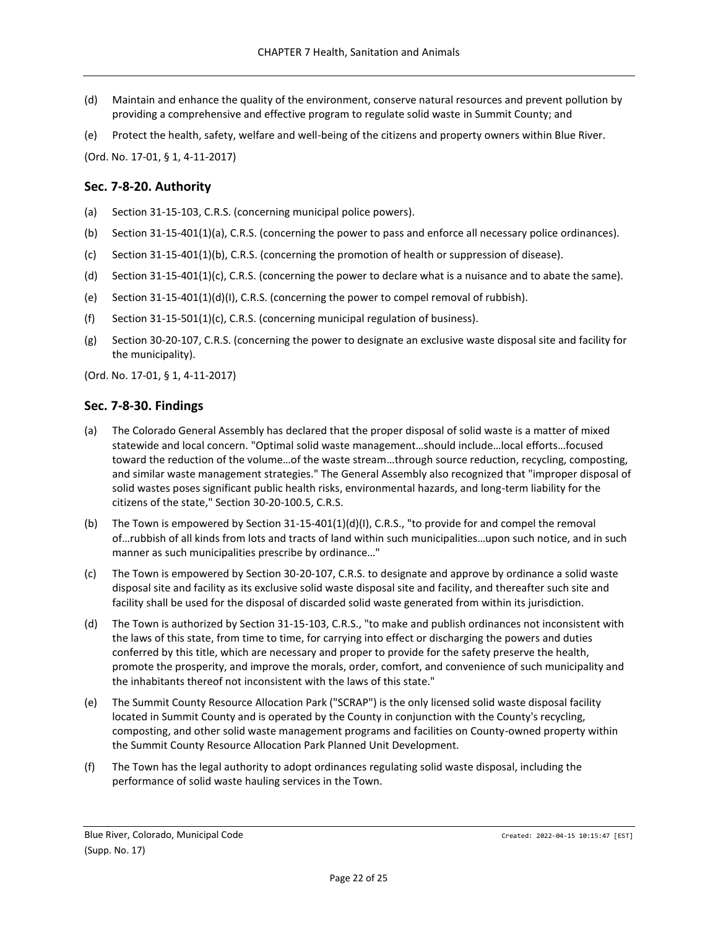- (d) Maintain and enhance the quality of the environment, conserve natural resources and prevent pollution by providing a comprehensive and effective program to regulate solid waste in Summit County; and
- (e) Protect the health, safety, welfare and well-being of the citizens and property owners within Blue River.

(Ord. No. 17-01, § 1, 4-11-2017)

### <span id="page-21-0"></span>**Sec. 7-8-20. Authority**

- (a) Section 31-15-103, C.R.S. (concerning municipal police powers).
- (b) Section 31-15-401(1)(a), C.R.S. (concerning the power to pass and enforce all necessary police ordinances).
- (c) Section 31-15-401(1)(b), C.R.S. (concerning the promotion of health or suppression of disease).
- (d) Section 31-15-401(1)(c), C.R.S. (concerning the power to declare what is a nuisance and to abate the same).
- (e) Section 31-15-401(1)(d)(I), C.R.S. (concerning the power to compel removal of rubbish).
- (f) Section 31-15-501(1)(c), C.R.S. (concerning municipal regulation of business).
- (g) Section 30-20-107, C.R.S. (concerning the power to designate an exclusive waste disposal site and facility for the municipality).

(Ord. No. 17-01, § 1, 4-11-2017)

## <span id="page-21-1"></span>**Sec. 7-8-30. Findings**

- (a) The Colorado General Assembly has declared that the proper disposal of solid waste is a matter of mixed statewide and local concern. "Optimal solid waste management…should include…local efforts…focused toward the reduction of the volume…of the waste stream…through source reduction, recycling, composting, and similar waste management strategies." The General Assembly also recognized that "improper disposal of solid wastes poses significant public health risks, environmental hazards, and long-term liability for the citizens of the state," Section 30-20-100.5, C.R.S.
- (b) The Town is empowered by Section 31-15-401(1)(d)(I), C.R.S., "to provide for and compel the removal of…rubbish of all kinds from lots and tracts of land within such municipalities…upon such notice, and in such manner as such municipalities prescribe by ordinance…"
- (c) The Town is empowered by Section 30-20-107, C.R.S. to designate and approve by ordinance a solid waste disposal site and facility as its exclusive solid waste disposal site and facility, and thereafter such site and facility shall be used for the disposal of discarded solid waste generated from within its jurisdiction.
- (d) The Town is authorized by Section 31-15-103, C.R.S., "to make and publish ordinances not inconsistent with the laws of this state, from time to time, for carrying into effect or discharging the powers and duties conferred by this title, which are necessary and proper to provide for the safety preserve the health, promote the prosperity, and improve the morals, order, comfort, and convenience of such municipality and the inhabitants thereof not inconsistent with the laws of this state."
- (e) The Summit County Resource Allocation Park ("SCRAP") is the only licensed solid waste disposal facility located in Summit County and is operated by the County in conjunction with the County's recycling, composting, and other solid waste management programs and facilities on County-owned property within the Summit County Resource Allocation Park Planned Unit Development.
- (f) The Town has the legal authority to adopt ordinances regulating solid waste disposal, including the performance of solid waste hauling services in the Town.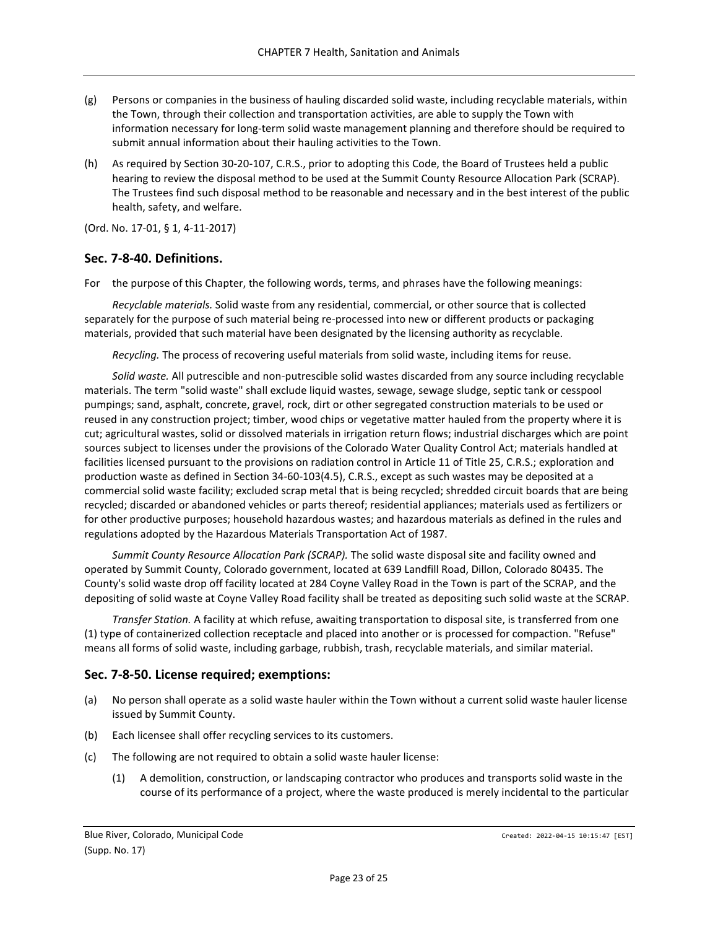- (g) Persons or companies in the business of hauling discarded solid waste, including recyclable materials, within the Town, through their collection and transportation activities, are able to supply the Town with information necessary for long-term solid waste management planning and therefore should be required to submit annual information about their hauling activities to the Town.
- (h) As required by Section 30-20-107, C.R.S., prior to adopting this Code, the Board of Trustees held a public hearing to review the disposal method to be used at the Summit County Resource Allocation Park (SCRAP). The Trustees find such disposal method to be reasonable and necessary and in the best interest of the public health, safety, and welfare.

(Ord. No. 17-01, § 1, 4-11-2017)

## <span id="page-22-0"></span>**Sec. 7-8-40. Definitions.**

For the purpose of this Chapter, the following words, terms, and phrases have the following meanings:

*Recyclable materials.* Solid waste from any residential, commercial, or other source that is collected separately for the purpose of such material being re-processed into new or different products or packaging materials, provided that such material have been designated by the licensing authority as recyclable.

*Recycling.* The process of recovering useful materials from solid waste, including items for reuse.

*Solid waste.* All putrescible and non-putrescible solid wastes discarded from any source including recyclable materials. The term "solid waste" shall exclude liquid wastes, sewage, sewage sludge, septic tank or cesspool pumpings; sand, asphalt, concrete, gravel, rock, dirt or other segregated construction materials to be used or reused in any construction project; timber, wood chips or vegetative matter hauled from the property where it is cut; agricultural wastes, solid or dissolved materials in irrigation return flows; industrial discharges which are point sources subject to licenses under the provisions of the Colorado Water Quality Control Act; materials handled at facilities licensed pursuant to the provisions on radiation control in Article 11 of Title 25, C.R.S.; exploration and production waste as defined in Section 34-60-103(4.5), C.R.S., except as such wastes may be deposited at a commercial solid waste facility; excluded scrap metal that is being recycled; shredded circuit boards that are being recycled; discarded or abandoned vehicles or parts thereof; residential appliances; materials used as fertilizers or for other productive purposes; household hazardous wastes; and hazardous materials as defined in the rules and regulations adopted by the Hazardous Materials Transportation Act of 1987.

*Summit County Resource Allocation Park (SCRAP).* The solid waste disposal site and facility owned and operated by Summit County, Colorado government, located at 639 Landfill Road, Dillon, Colorado 80435. The County's solid waste drop off facility located at 284 Coyne Valley Road in the Town is part of the SCRAP, and the depositing of solid waste at Coyne Valley Road facility shall be treated as depositing such solid waste at the SCRAP.

*Transfer Station.* A facility at which refuse, awaiting transportation to disposal site, is transferred from one (1) type of containerized collection receptacle and placed into another or is processed for compaction. "Refuse" means all forms of solid waste, including garbage, rubbish, trash, recyclable materials, and similar material.

# <span id="page-22-1"></span>**Sec. 7-8-50. License required; exemptions:**

- (a) No person shall operate as a solid waste hauler within the Town without a current solid waste hauler license issued by Summit County.
- (b) Each licensee shall offer recycling services to its customers.
- (c) The following are not required to obtain a solid waste hauler license:
	- (1) A demolition, construction, or landscaping contractor who produces and transports solid waste in the course of its performance of a project, where the waste produced is merely incidental to the particular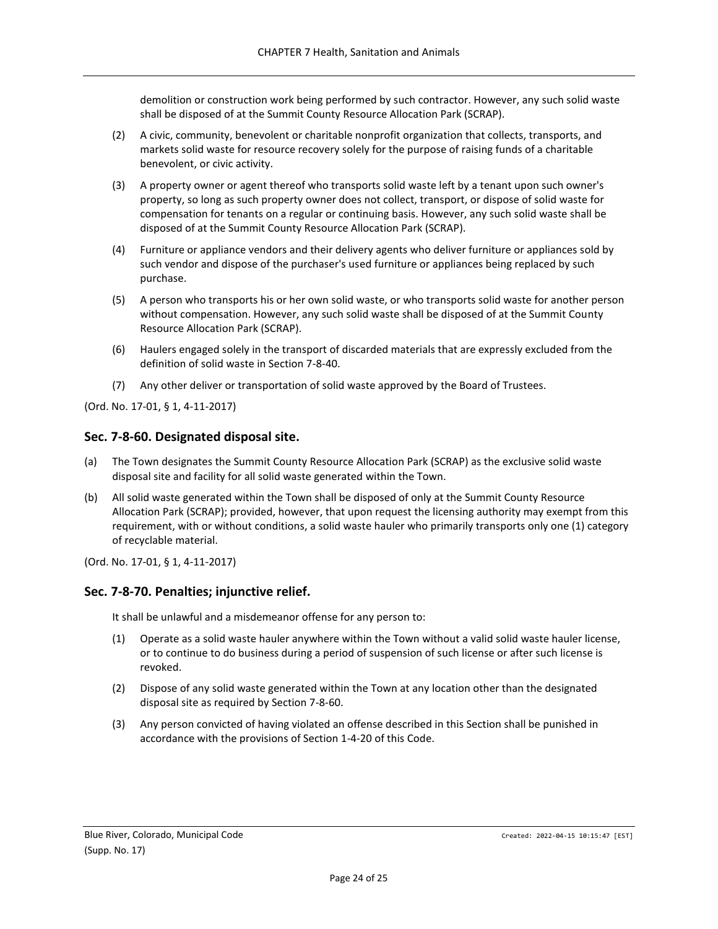demolition or construction work being performed by such contractor. However, any such solid waste shall be disposed of at the Summit County Resource Allocation Park (SCRAP).

- (2) A civic, community, benevolent or charitable nonprofit organization that collects, transports, and markets solid waste for resource recovery solely for the purpose of raising funds of a charitable benevolent, or civic activity.
- (3) A property owner or agent thereof who transports solid waste left by a tenant upon such owner's property, so long as such property owner does not collect, transport, or dispose of solid waste for compensation for tenants on a regular or continuing basis. However, any such solid waste shall be disposed of at the Summit County Resource Allocation Park (SCRAP).
- (4) Furniture or appliance vendors and their delivery agents who deliver furniture or appliances sold by such vendor and dispose of the purchaser's used furniture or appliances being replaced by such purchase.
- (5) A person who transports his or her own solid waste, or who transports solid waste for another person without compensation. However, any such solid waste shall be disposed of at the Summit County Resource Allocation Park (SCRAP).
- (6) Haulers engaged solely in the transport of discarded materials that are expressly excluded from the definition of solid waste in Section 7-8-40.
- (7) Any other deliver or transportation of solid waste approved by the Board of Trustees.

(Ord. No. 17-01, § 1, 4-11-2017)

## <span id="page-23-0"></span>**Sec. 7-8-60. Designated disposal site.**

- (a) The Town designates the Summit County Resource Allocation Park (SCRAP) as the exclusive solid waste disposal site and facility for all solid waste generated within the Town.
- (b) All solid waste generated within the Town shall be disposed of only at the Summit County Resource Allocation Park (SCRAP); provided, however, that upon request the licensing authority may exempt from this requirement, with or without conditions, a solid waste hauler who primarily transports only one (1) category of recyclable material.

(Ord. No. 17-01, § 1, 4-11-2017)

### <span id="page-23-1"></span>**Sec. 7-8-70. Penalties; injunctive relief.**

It shall be unlawful and a misdemeanor offense for any person to:

- (1) Operate as a solid waste hauler anywhere within the Town without a valid solid waste hauler license, or to continue to do business during a period of suspension of such license or after such license is revoked.
- (2) Dispose of any solid waste generated within the Town at any location other than the designated disposal site as required by Section 7-8-60.
- (3) Any person convicted of having violated an offense described in this Section shall be punished in accordance with the provisions of Section 1-4-20 of this Code.